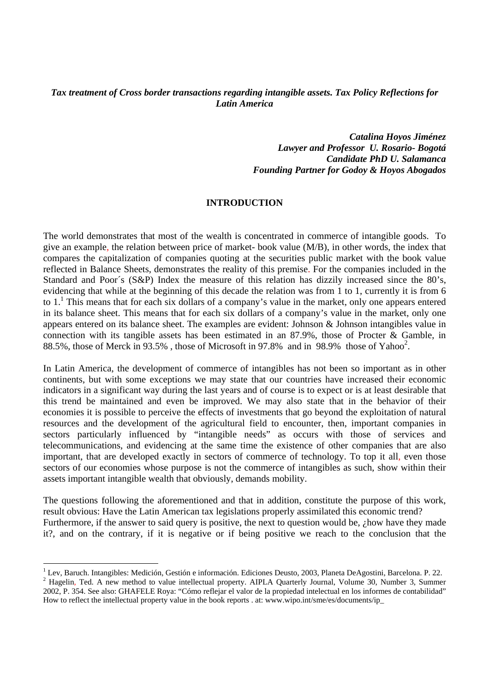# *Tax treatment of Cross border transactions regarding intangible assets. Tax Policy Reflections for Latin America*

*Catalina Hoyos Jiménez Lawyer and Professor U. Rosario- Bogotá Candidate PhD U. Salamanca Founding Partner for Godoy & Hoyos Abogados* 

#### **INTRODUCTION**

The world demonstrates that most of the wealth is concentrated in commerce of intangible goods. To give an example, the relation between price of market- book value (M/B), in other words, the index that compares the capitalization of companies quoting at the securities public market with the book value reflected in Balance Sheets, demonstrates the reality of this premise. For the companies included in the Standard and Poor´s (S&P) Index the measure of this relation has dizzily increased since the 80's, evidencing that while at the beginning of this decade the relation was from 1 to 1, currently it is from 6 to  $1<sup>1</sup>$ . This means that for each six dollars of a company's value in the market, only one appears entered in its balance sheet. This means that for each six dollars of a company's value in the market, only one appears entered on its balance sheet. The examples are evident: Johnson & Johnson intangibles value in connection with its tangible assets has been estimated in an 87.9%, those of Procter & Gamble, in 88.5%, those of Merck in 93.5%, those of Microsoft in 97.8% and in 98.9% those of Yahoo<sup>2</sup>.

In Latin America, the development of commerce of intangibles has not been so important as in other continents, but with some exceptions we may state that our countries have increased their economic indicators in a significant way during the last years and of course is to expect or is at least desirable that this trend be maintained and even be improved. We may also state that in the behavior of their economies it is possible to perceive the effects of investments that go beyond the exploitation of natural resources and the development of the agricultural field to encounter, then, important companies in sectors particularly influenced by "intangible needs" as occurs with those of services and telecommunications, and evidencing at the same time the existence of other companies that are also important, that are developed exactly in sectors of commerce of technology. To top it all, even those sectors of our economies whose purpose is not the commerce of intangibles as such, show within their assets important intangible wealth that obviously, demands mobility.

The questions following the aforementioned and that in addition, constitute the purpose of this work, result obvious: Have the Latin American tax legislations properly assimilated this economic trend? Furthermore, if the answer to said query is positive, the next to question would be,  $\lambda$  how have they made it?, and on the contrary, if it is negative or if being positive we reach to the conclusion that the

<sup>&</sup>lt;sup>1</sup> Lev, Baruch. Intangibles: Medición, Gestión e información. Ediciones Deusto, 2003, Planeta DeAgostini, Barcelona. P. 22.

<sup>&</sup>lt;sup>2</sup> Hagelin, Ted. A new method to value intellectual property. AIPLA Quarterly Journal, Volume 30, Number 3, Summer 2002, P. 354. See also: GHAFELE Roya: "Cómo reflejar el valor de la propiedad intelectual en los informes de contabilidad" How to reflect the intellectual property value in the book reports . at: www.wipo.int/sme/es/documents/ip\_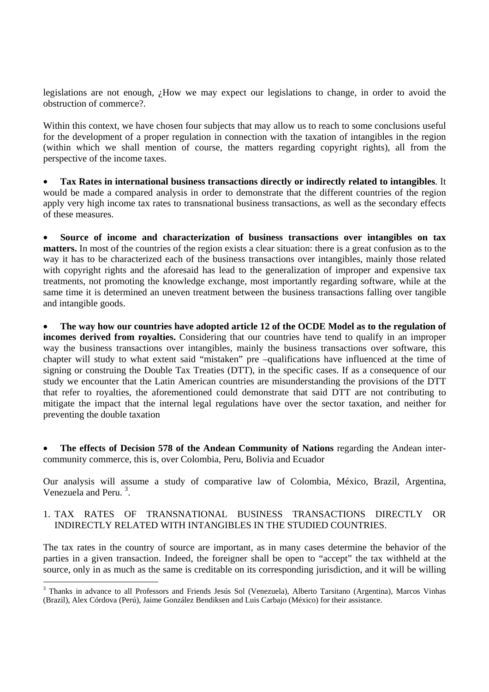legislations are not enough, ¿How we may expect our legislations to change, in order to avoid the obstruction of commerce?.

Within this context, we have chosen four subjects that may allow us to reach to some conclusions useful for the development of a proper regulation in connection with the taxation of intangibles in the region (within which we shall mention of course, the matters regarding copyright rights), all from the perspective of the income taxes.

• **Tax Rates in international business transactions directly or indirectly related to intangibles**. It would be made a compared analysis in order to demonstrate that the different countries of the region apply very high income tax rates to transnational business transactions, as well as the secondary effects of these measures.

• **Source of income and characterization of business transactions over intangibles on tax matters.** In most of the countries of the region exists a clear situation: there is a great confusion as to the way it has to be characterized each of the business transactions over intangibles, mainly those related with copyright rights and the aforesaid has lead to the generalization of improper and expensive tax treatments, not promoting the knowledge exchange, most importantly regarding software, while at the same time it is determined an uneven treatment between the business transactions falling over tangible and intangible goods.

• **The way how our countries have adopted article 12 of the OCDE Model as to the regulation of incomes derived from royalties.** Considering that our countries have tend to qualify in an improper way the business transactions over intangibles, mainly the business transactions over software, this chapter will study to what extent said "mistaken" pre –qualifications have influenced at the time of signing or construing the Double Tax Treaties (DTT), in the specific cases. If as a consequence of our study we encounter that the Latin American countries are misunderstanding the provisions of the DTT that refer to royalties, the aforementioned could demonstrate that said DTT are not contributing to mitigate the impact that the internal legal regulations have over the sector taxation, and neither for preventing the double taxation

• **The effects of Decision 578 of the Andean Community of Nations** regarding the Andean intercommunity commerce, this is, over Colombia, Peru, Bolivia and Ecuador

Our analysis will assume a study of comparative law of Colombia, México, Brazil, Argentina, Venezuela and Peru.<sup>3</sup>.

### 1. TAX RATES OF TRANSNATIONAL BUSINESS TRANSACTIONS DIRECTLY OR INDIRECTLY RELATED WITH INTANGIBLES IN THE STUDIED COUNTRIES.

The tax rates in the country of source are important, as in many cases determine the behavior of the parties in a given transaction. Indeed, the foreigner shall be open to "accept" the tax withheld at the source, only in as much as the same is creditable on its corresponding jurisdiction, and it will be willing

<sup>&</sup>lt;sup>3</sup> Thanks in advance to all Professors and Friends Jesús Sol (Venezuela), Alberto Tarsitano (Argentina), Marcos Vinhas (Brazil), Alex Córdova (Perú), Jaime González Bendiksen and Luis Carbajo (México) for their assistance.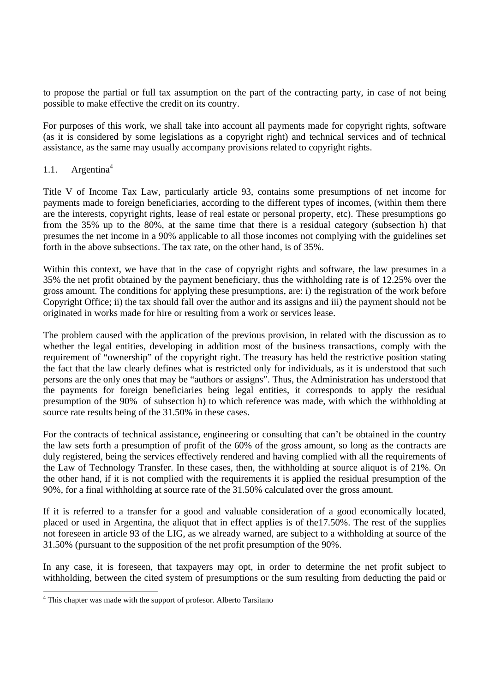to propose the partial or full tax assumption on the part of the contracting party, in case of not being possible to make effective the credit on its country.

For purposes of this work, we shall take into account all payments made for copyright rights, software (as it is considered by some legislations as a copyright right) and technical services and of technical assistance, as the same may usually accompany provisions related to copyright rights.

## 1.1. Argentina<sup>4</sup>

Title V of Income Tax Law, particularly article 93, contains some presumptions of net income for payments made to foreign beneficiaries, according to the different types of incomes, (within them there are the interests, copyright rights, lease of real estate or personal property, etc). These presumptions go from the 35% up to the 80%, at the same time that there is a residual category (subsection h) that presumes the net income in a 90% applicable to all those incomes not complying with the guidelines set forth in the above subsections. The tax rate, on the other hand, is of 35%.

Within this context, we have that in the case of copyright rights and software, the law presumes in a 35% the net profit obtained by the payment beneficiary, thus the withholding rate is of 12.25% over the gross amount. The conditions for applying these presumptions, are: i) the registration of the work before Copyright Office; ii) the tax should fall over the author and its assigns and iii) the payment should not be originated in works made for hire or resulting from a work or services lease.

The problem caused with the application of the previous provision, in related with the discussion as to whether the legal entities, developing in addition most of the business transactions, comply with the requirement of "ownership" of the copyright right. The treasury has held the restrictive position stating the fact that the law clearly defines what is restricted only for individuals, as it is understood that such persons are the only ones that may be "authors or assigns". Thus, the Administration has understood that the payments for foreign beneficiaries being legal entities, it corresponds to apply the residual presumption of the 90% of subsection h) to which reference was made, with which the withholding at source rate results being of the 31.50% in these cases.

For the contracts of technical assistance, engineering or consulting that can't be obtained in the country the law sets forth a presumption of profit of the 60% of the gross amount, so long as the contracts are duly registered, being the services effectively rendered and having complied with all the requirements of the Law of Technology Transfer. In these cases, then, the withholding at source aliquot is of 21%. On the other hand, if it is not complied with the requirements it is applied the residual presumption of the 90%, for a final withholding at source rate of the 31.50% calculated over the gross amount.

If it is referred to a transfer for a good and valuable consideration of a good economically located, placed or used in Argentina, the aliquot that in effect applies is of the17.50%. The rest of the supplies not foreseen in article 93 of the LIG, as we already warned, are subject to a withholding at source of the 31.50% (pursuant to the supposition of the net profit presumption of the 90%.

In any case, it is foreseen, that taxpayers may opt, in order to determine the net profit subject to withholding, between the cited system of presumptions or the sum resulting from deducting the paid or

 $\overline{a}$ 

<sup>&</sup>lt;sup>4</sup> This chapter was made with the support of profesor. Alberto Tarsitano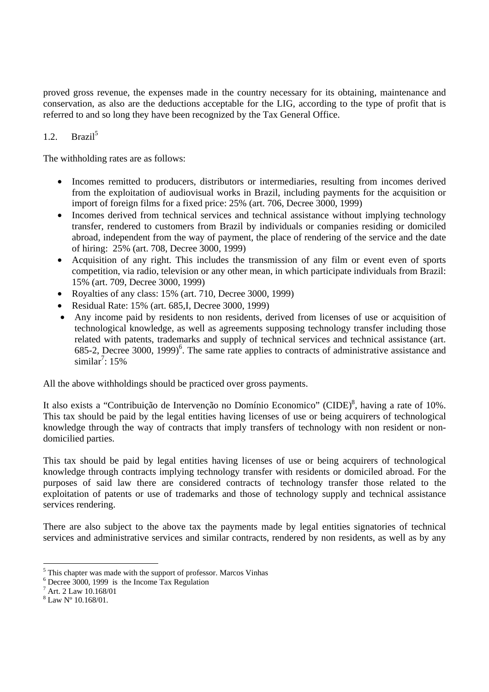proved gross revenue, the expenses made in the country necessary for its obtaining, maintenance and conservation, as also are the deductions acceptable for the LIG, according to the type of profit that is referred to and so long they have been recognized by the Tax General Office.

# 1.2. Brazil<sup>5</sup>

The withholding rates are as follows:

- Incomes remitted to producers, distributors or intermediaries, resulting from incomes derived from the exploitation of audiovisual works in Brazil, including payments for the acquisition or import of foreign films for a fixed price: 25% (art. 706, Decree 3000, 1999)
- Incomes derived from technical services and technical assistance without implying technology transfer, rendered to customers from Brazil by individuals or companies residing or domiciled abroad, independent from the way of payment, the place of rendering of the service and the date of hiring: 25% (art. 708, Decree 3000, 1999)
- Acquisition of any right. This includes the transmission of any film or event even of sports competition, via radio, television or any other mean, in which participate individuals from Brazil: 15% (art. 709, Decree 3000, 1999)
- Royalties of any class: 15% (art. 710, Decree 3000, 1999)
- Residual Rate: 15% (art. 685,I, Decree 3000, 1999)
- Any income paid by residents to non residents, derived from licenses of use or acquisition of technological knowledge, as well as agreements supposing technology transfer including those related with patents, trademarks and supply of technical services and technical assistance (art. 685-2, Decree 3000, 1999)<sup>6</sup>. The same rate applies to contracts of administrative assistance and similar<sup>7</sup>:  $15\%$

All the above withholdings should be practiced over gross payments.

It also exists a "Contribuição de Intervenção no Domínio Economico" (CIDE)<sup>8</sup>, having a rate of 10%. This tax should be paid by the legal entities having licenses of use or being acquirers of technological knowledge through the way of contracts that imply transfers of technology with non resident or nondomicilied parties.

This tax should be paid by legal entities having licenses of use or being acquirers of technological knowledge through contracts implying technology transfer with residents or domiciled abroad. For the purposes of said law there are considered contracts of technology transfer those related to the exploitation of patents or use of trademarks and those of technology supply and technical assistance services rendering.

There are also subject to the above tax the payments made by legal entities signatories of technical services and administrative services and similar contracts, rendered by non residents, as well as by any

<sup>&</sup>lt;sup>5</sup> This chapter was made with the support of professor. Marcos Vinhas

<sup>6</sup> Decree 3000, 1999 is the Income Tax Regulation

<sup>7</sup> Art. 2 Law 10.168/01

<sup>8</sup> Law Nº 10.168/01.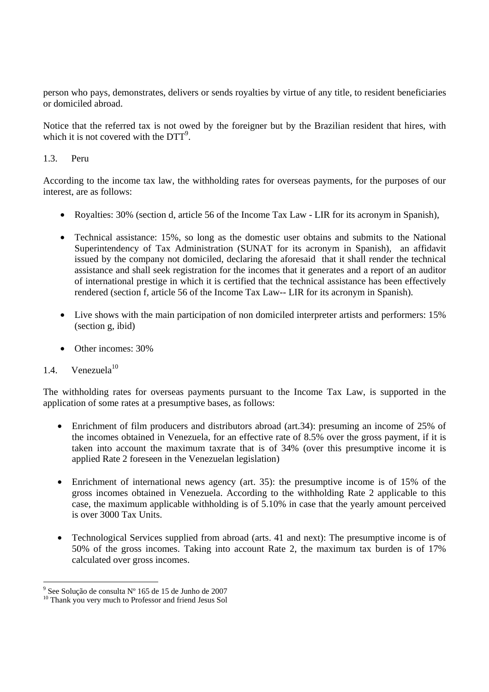person who pays, demonstrates, delivers or sends royalties by virtue of any title, to resident beneficiaries or domiciled abroad.

Notice that the referred tax is not owed by the foreigner but by the Brazilian resident that hires, with which it is not covered with the  $DTT<sup>9</sup>$ .

### 1.3. Peru

According to the income tax law, the withholding rates for overseas payments, for the purposes of our interest, are as follows:

- Royalties: 30% (section d, article 56 of the Income Tax Law LIR for its acronym in Spanish).
- Technical assistance: 15%, so long as the domestic user obtains and submits to the National Superintendency of Tax Administration (SUNAT for its acronym in Spanish), an affidavit issued by the company not domiciled, declaring the aforesaid that it shall render the technical assistance and shall seek registration for the incomes that it generates and a report of an auditor of international prestige in which it is certified that the technical assistance has been effectively rendered (section f, article 56 of the Income Tax Law-- LIR for its acronym in Spanish).
- Live shows with the main participation of non domiciled interpreter artists and performers: 15% (section g, ibid)
- Other incomes: 30%

# 1.4. Venezuela $10$

The withholding rates for overseas payments pursuant to the Income Tax Law, is supported in the application of some rates at a presumptive bases, as follows:

- Enrichment of film producers and distributors abroad (art. 34): presuming an income of 25% of the incomes obtained in Venezuela, for an effective rate of 8.5% over the gross payment, if it is taken into account the maximum taxrate that is of 34% (over this presumptive income it is applied Rate 2 foreseen in the Venezuelan legislation)
- Enrichment of international news agency (art. 35): the presumptive income is of 15% of the gross incomes obtained in Venezuela. According to the withholding Rate 2 applicable to this case, the maximum applicable withholding is of 5.10% in case that the yearly amount perceived is over 3000 Tax Units.
- Technological Services supplied from abroad (arts. 41 and next): The presumptive income is of 50% of the gross incomes. Taking into account Rate 2, the maximum tax burden is of 17% calculated over gross incomes.

 9 See Solução de consulta Nº 165 de 15 de Junho de 2007

<sup>&</sup>lt;sup>10</sup> Thank you very much to Professor and friend Jesus Sol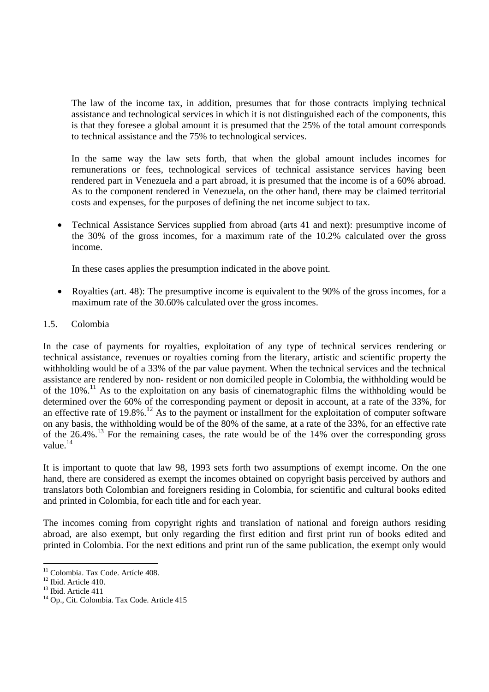The law of the income tax, in addition, presumes that for those contracts implying technical assistance and technological services in which it is not distinguished each of the components, this is that they foresee a global amount it is presumed that the 25% of the total amount corresponds to technical assistance and the 75% to technological services.

In the same way the law sets forth, that when the global amount includes incomes for remunerations or fees, technological services of technical assistance services having been rendered part in Venezuela and a part abroad, it is presumed that the income is of a 60% abroad. As to the component rendered in Venezuela, on the other hand, there may be claimed territorial costs and expenses, for the purposes of defining the net income subject to tax.

• Technical Assistance Services supplied from abroad (arts 41 and next): presumptive income of the 30% of the gross incomes, for a maximum rate of the 10.2% calculated over the gross income.

In these cases applies the presumption indicated in the above point.

• Royalties (art. 48): The presumptive income is equivalent to the 90% of the gross incomes, for a maximum rate of the 30.60% calculated over the gross incomes.

# 1.5. Colombia

In the case of payments for royalties, exploitation of any type of technical services rendering or technical assistance, revenues or royalties coming from the literary, artistic and scientific property the withholding would be of a 33% of the par value payment. When the technical services and the technical assistance are rendered by non- resident or non domiciled people in Colombia, the withholding would be of the  $10\%$ .<sup>11</sup> As to the exploitation on any basis of cinematographic films the withholding would be determined over the 60% of the corresponding payment or deposit in account, at a rate of the 33%, for an effective rate of  $19.8\%$ .<sup>12</sup> As to the payment or installment for the exploitation of computer software on any basis, the withholding would be of the 80% of the same, at a rate of the 33%, for an effective rate of the  $26.4\%$ .<sup>13</sup> For the remaining cases, the rate would be of the 14% over the corresponding gross value.<sup>14</sup>

It is important to quote that law 98, 1993 sets forth two assumptions of exempt income. On the one hand, there are considered as exempt the incomes obtained on copyright basis perceived by authors and translators both Colombian and foreigners residing in Colombia, for scientific and cultural books edited and printed in Colombia, for each title and for each year.

The incomes coming from copyright rights and translation of national and foreign authors residing abroad, are also exempt, but only regarding the first edition and first print run of books edited and printed in Colombia. For the next editions and print run of the same publication, the exempt only would

<sup>&</sup>lt;sup>11</sup> Colombia. Tax Code. Artícle 408.

<sup>&</sup>lt;sup>12</sup> Ibid. Article 410.

<sup>13</sup> Ibid. Article 411

<sup>&</sup>lt;sup>14</sup> On., Cit. Colombia. Tax Code. Article 415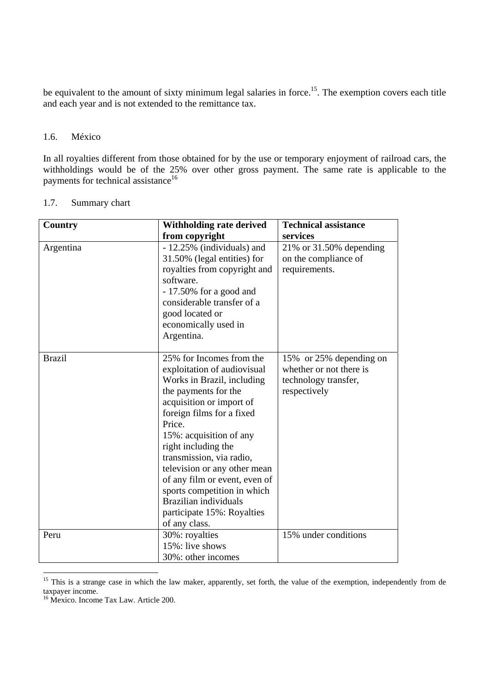be equivalent to the amount of sixty minimum legal salaries in force.<sup>15</sup>. The exemption covers each title and each year and is not extended to the remittance tax.

#### 1.6. México

In all royalties different from those obtained for by the use or temporary enjoyment of railroad cars, the withholdings would be of the 25% over other gross payment. The same rate is applicable to the payments for technical assistance<sup>16</sup>

| Country       | Withholding rate derived                                                                                                                                                                                                                                                                                                                                                                                                               | <b>Technical assistance</b>                                                                |
|---------------|----------------------------------------------------------------------------------------------------------------------------------------------------------------------------------------------------------------------------------------------------------------------------------------------------------------------------------------------------------------------------------------------------------------------------------------|--------------------------------------------------------------------------------------------|
|               | from copyright                                                                                                                                                                                                                                                                                                                                                                                                                         | services                                                                                   |
| Argentina     | - 12.25% (individuals) and<br>31.50% (legal entities) for<br>royalties from copyright and<br>software.<br>$-17.50\%$ for a good and<br>considerable transfer of a<br>good located or<br>economically used in<br>Argentina.                                                                                                                                                                                                             | $21\%$ or 31.50% depending<br>on the compliance of<br>requirements.                        |
| <b>Brazil</b> | 25% for Incomes from the<br>exploitation of audiovisual<br>Works in Brazil, including<br>the payments for the<br>acquisition or import of<br>foreign films for a fixed<br>Price.<br>15%: acquisition of any<br>right including the<br>transmission, via radio,<br>television or any other mean<br>of any film or event, even of<br>sports competition in which<br>Brazilian individuals<br>participate 15%: Royalties<br>of any class. | 15% or 25% depending on<br>whether or not there is<br>technology transfer,<br>respectively |
| Peru          | 30%: royalties<br>15%: live shows<br>30%: other incomes                                                                                                                                                                                                                                                                                                                                                                                | 15% under conditions                                                                       |

<sup>&</sup>lt;sup>15</sup> This is a strange case in which the law maker, apparently, set forth, the value of the exemption, independently from de taxpayer income.

<sup>&</sup>lt;sup>16</sup> Mexico. Income Tax Law. Article 200.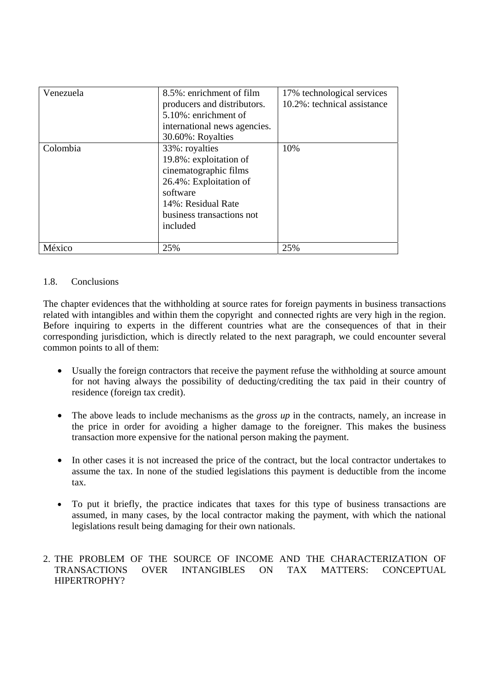| Venezuela | 8.5%: enrichment of film<br>producers and distributors.<br>5.10%: enrichment of<br>international news agencies.<br>30.60%: Royalties                                   | 17% technological services<br>10.2%: technical assistance |  |
|-----------|------------------------------------------------------------------------------------------------------------------------------------------------------------------------|-----------------------------------------------------------|--|
| Colombia  | 33%: royalties<br>19.8%: exploitation of<br>cinematographic films<br>26.4%: Exploitation of<br>software<br>14%: Residual Rate<br>business transactions not<br>included | 10%                                                       |  |
| México    | 25%                                                                                                                                                                    | 25%                                                       |  |

# 1.8. Conclusions

The chapter evidences that the withholding at source rates for foreign payments in business transactions related with intangibles and within them the copyright and connected rights are very high in the region. Before inquiring to experts in the different countries what are the consequences of that in their corresponding jurisdiction, which is directly related to the next paragraph, we could encounter several common points to all of them:

- Usually the foreign contractors that receive the payment refuse the withholding at source amount for not having always the possibility of deducting/crediting the tax paid in their country of residence (foreign tax credit).
- The above leads to include mechanisms as the *gross up* in the contracts, namely, an increase in the price in order for avoiding a higher damage to the foreigner. This makes the business transaction more expensive for the national person making the payment.
- In other cases it is not increased the price of the contract, but the local contractor undertakes to assume the tax. In none of the studied legislations this payment is deductible from the income tax.
- To put it briefly, the practice indicates that taxes for this type of business transactions are assumed, in many cases, by the local contractor making the payment, with which the national legislations result being damaging for their own nationals.

# 2. THE PROBLEM OF THE SOURCE OF INCOME AND THE CHARACTERIZATION OF TRANSACTIONS OVER INTANGIBLES ON TAX MATTERS: CONCEPTUAL HIPERTROPHY?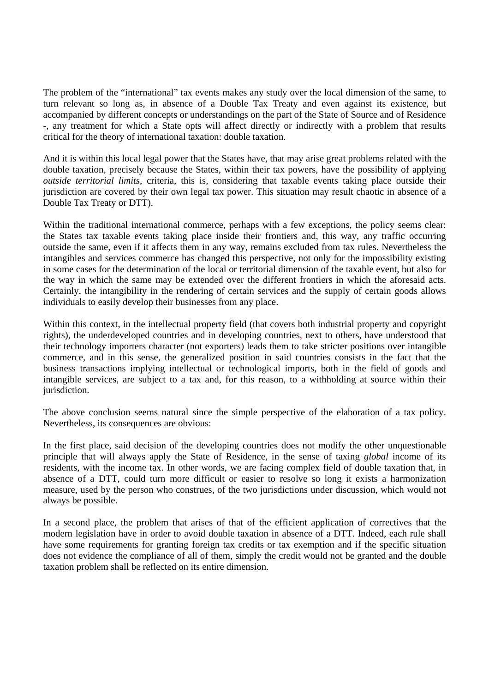The problem of the "international" tax events makes any study over the local dimension of the same, to turn relevant so long as, in absence of a Double Tax Treaty and even against its existence, but accompanied by different concepts or understandings on the part of the State of Source and of Residence -, any treatment for which a State opts will affect directly or indirectly with a problem that results critical for the theory of international taxation: double taxation.

And it is within this local legal power that the States have, that may arise great problems related with the double taxation, precisely because the States, within their tax powers, have the possibility of applying *outside territorial limits*, criteria, this is, considering that taxable events taking place outside their jurisdiction are covered by their own legal tax power. This situation may result chaotic in absence of a Double Tax Treaty or DTT).

Within the traditional international commerce, perhaps with a few exceptions, the policy seems clear: the States tax taxable events taking place inside their frontiers and, this way, any traffic occurring outside the same, even if it affects them in any way, remains excluded from tax rules. Nevertheless the intangibles and services commerce has changed this perspective, not only for the impossibility existing in some cases for the determination of the local or territorial dimension of the taxable event, but also for the way in which the same may be extended over the different frontiers in which the aforesaid acts. Certainly, the intangibility in the rendering of certain services and the supply of certain goods allows individuals to easily develop their businesses from any place.

Within this context, in the intellectual property field (that covers both industrial property and copyright rights), the underdeveloped countries and in developing countries, next to others, have understood that their technology importers character (not exporters) leads them to take stricter positions over intangible commerce, and in this sense, the generalized position in said countries consists in the fact that the business transactions implying intellectual or technological imports, both in the field of goods and intangible services, are subject to a tax and, for this reason, to a withholding at source within their jurisdiction.

The above conclusion seems natural since the simple perspective of the elaboration of a tax policy. Nevertheless, its consequences are obvious:

In the first place, said decision of the developing countries does not modify the other unquestionable principle that will always apply the State of Residence, in the sense of taxing *global* income of its residents, with the income tax. In other words, we are facing complex field of double taxation that, in absence of a DTT, could turn more difficult or easier to resolve so long it exists a harmonization measure, used by the person who construes, of the two jurisdictions under discussion, which would not always be possible.

In a second place, the problem that arises of that of the efficient application of correctives that the modern legislation have in order to avoid double taxation in absence of a DTT. Indeed, each rule shall have some requirements for granting foreign tax credits or tax exemption and if the specific situation does not evidence the compliance of all of them, simply the credit would not be granted and the double taxation problem shall be reflected on its entire dimension.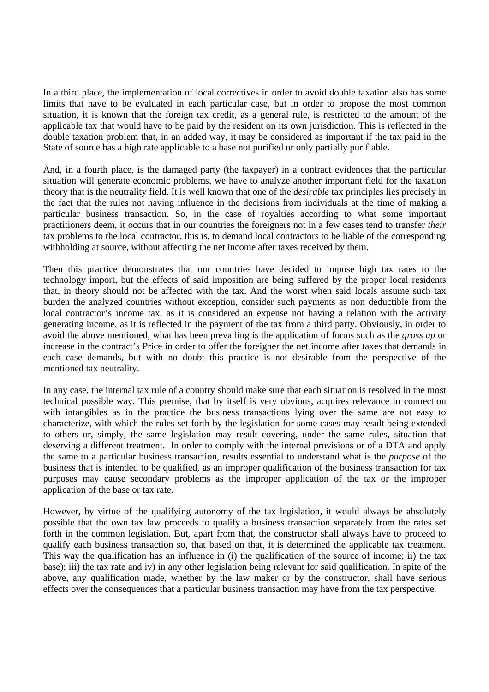In a third place, the implementation of local correctives in order to avoid double taxation also has some limits that have to be evaluated in each particular case, but in order to propose the most common situation, it is known that the foreign tax credit, as a general rule, is restricted to the amount of the applicable tax that would have to be paid by the resident on its own jurisdiction. This is reflected in the double taxation problem that, in an added way, it may be considered as important if the tax paid in the State of source has a high rate applicable to a base not purified or only partially purifiable.

And, in a fourth place, is the damaged party (the taxpayer) in a contract evidences that the particular situation will generate economic problems, we have to analyze another important field for the taxation theory that is the neutrality field. It is well known that one of the *desirable* tax principles lies precisely in the fact that the rules not having influence in the decisions from individuals at the time of making a particular business transaction. So, in the case of royalties according to what some important practitioners deem, it occurs that in our countries the foreigners not in a few cases tend to transfer *their*  tax problems to the local contractor, this is, to demand local contractors to be liable of the corresponding withholding at source, without affecting the net income after taxes received by them.

Then this practice demonstrates that our countries have decided to impose high tax rates to the technology import, but the effects of said imposition are being suffered by the proper local residents that, in theory should not be affected with the tax. And the worst when said locals assume such tax burden the analyzed countries without exception, consider such payments as non deductible from the local contractor's income tax, as it is considered an expense not having a relation with the activity generating income, as it is reflected in the payment of the tax from a third party. Obviously, in order to avoid the above mentioned, what has been prevailing is the application of forms such as the *gross up* or increase in the contract's Price in order to offer the foreigner the net income after taxes that demands in each case demands, but with no doubt this practice is not desirable from the perspective of the mentioned tax neutrality.

In any case, the internal tax rule of a country should make sure that each situation is resolved in the most technical possible way. This premise, that by itself is very obvious, acquires relevance in connection with intangibles as in the practice the business transactions lying over the same are not easy to characterize, with which the rules set forth by the legislation for some cases may result being extended to others or, simply, the same legislation may result covering, under the same rules, situation that deserving a different treatment. In order to comply with the internal provisions or of a DTA and apply the same to a particular business transaction, results essential to understand what is the *purpose* of the business that is intended to be qualified, as an improper qualification of the business transaction for tax purposes may cause secondary problems as the improper application of the tax or the improper application of the base or tax rate.

However, by virtue of the qualifying autonomy of the tax legislation, it would always be absolutely possible that the own tax law proceeds to qualify a business transaction separately from the rates set forth in the common legislation. But, apart from that, the constructor shall always have to proceed to qualify each business transaction so, that based on that, it is determined the applicable tax treatment. This way the qualification has an influence in (i) the qualification of the source of income; ii) the tax base); iii) the tax rate and iv) in any other legislation being relevant for said qualification. In spite of the above, any qualification made, whether by the law maker or by the constructor, shall have serious effects over the consequences that a particular business transaction may have from the tax perspective.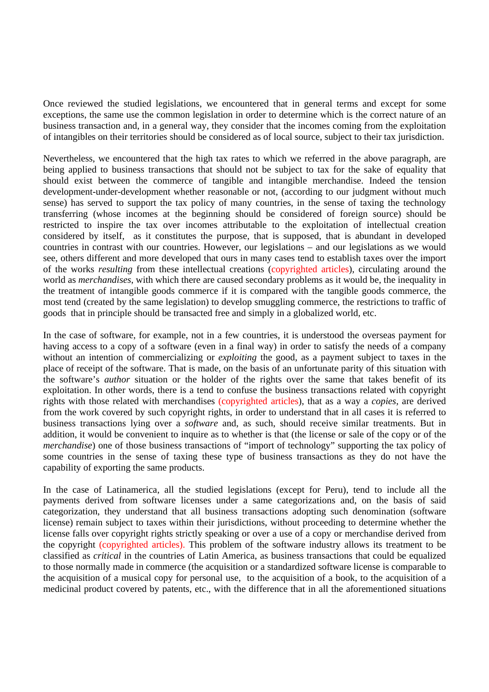Once reviewed the studied legislations, we encountered that in general terms and except for some exceptions, the same use the common legislation in order to determine which is the correct nature of an business transaction and, in a general way, they consider that the incomes coming from the exploitation of intangibles on their territories should be considered as of local source, subject to their tax jurisdiction.

Nevertheless, we encountered that the high tax rates to which we referred in the above paragraph, are being applied to business transactions that should not be subject to tax for the sake of equality that should exist between the commerce of tangible and intangible merchandise. Indeed the tension development-under-development whether reasonable or not, (according to our judgment without much sense) has served to support the tax policy of many countries, in the sense of taxing the technology transferring (whose incomes at the beginning should be considered of foreign source) should be restricted to inspire the tax over incomes attributable to the exploitation of intellectual creation considered by itself, as it constitutes the purpose, that is supposed, that is abundant in developed countries in contrast with our countries. However, our legislations – and our legislations as we would see, others different and more developed that ours in many cases tend to establish taxes over the import of the works *resulting* from these intellectual creations (copyrighted articles), circulating around the world as *merchandises*, with which there are caused secondary problems as it would be, the inequality in the treatment of intangible goods commerce if it is compared with the tangible goods commerce, the most tend (created by the same legislation) to develop smuggling commerce, the restrictions to traffic of goods that in principle should be transacted free and simply in a globalized world, etc.

In the case of software, for example, not in a few countries, it is understood the overseas payment for having access to a copy of a software (even in a final way) in order to satisfy the needs of a company without an intention of commercializing or *exploiting* the good, as a payment subject to taxes in the place of receipt of the software. That is made, on the basis of an unfortunate parity of this situation with the software's *author* situation or the holder of the rights over the same that takes benefit of its exploitation. In other words, there is a tend to confuse the business transactions related with copyright rights with those related with merchandises (copyrighted articles), that as a way a *copies*, are derived from the work covered by such copyright rights, in order to understand that in all cases it is referred to business transactions lying over a *software* and, as such, should receive similar treatments. But in addition, it would be convenient to inquire as to whether is that (the license or sale of the copy or of the *merchandise*) one of those business transactions of "import of technology" supporting the tax policy of some countries in the sense of taxing these type of business transactions as they do not have the capability of exporting the same products.

In the case of Latinamerica, all the studied legislations (except for Peru), tend to include all the payments derived from software licenses under a same categorizations and, on the basis of said categorization, they understand that all business transactions adopting such denomination (software license) remain subject to taxes within their jurisdictions, without proceeding to determine whether the license falls over copyright rights strictly speaking or over a use of a copy or merchandise derived from the copyright (copyrighted articles). This problem of the software industry allows its treatment to be classified as *critical* in the countries of Latin America, as business transactions that could be equalized to those normally made in commerce (the acquisition or a standardized software license is comparable to the acquisition of a musical copy for personal use, to the acquisition of a book, to the acquisition of a medicinal product covered by patents, etc., with the difference that in all the aforementioned situations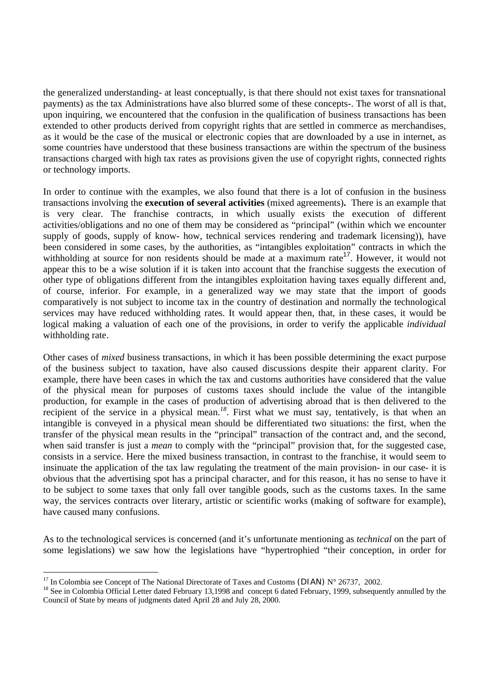the generalized understanding- at least conceptually, is that there should not exist taxes for transnational payments) as the tax Administrations have also blurred some of these concepts-. The worst of all is that, upon inquiring, we encountered that the confusion in the qualification of business transactions has been extended to other products derived from copyright rights that are settled in commerce as merchandises, as it would be the case of the musical or electronic copies that are downloaded by a use in internet, as some countries have understood that these business transactions are within the spectrum of the business transactions charged with high tax rates as provisions given the use of copyright rights, connected rights or technology imports.

In order to continue with the examples, we also found that there is a lot of confusion in the business transactions involving the **execution of several activities** (mixed agreements)**.** There is an example that is very clear. The franchise contracts, in which usually exists the execution of different activities/obligations and no one of them may be considered as "principal" (within which we encounter supply of goods, supply of know- how, technical services rendering and trademark licensing)), have been considered in some cases, by the authorities, as "intangibles exploitation" contracts in which the withholding at source for non residents should be made at a maximum rate<sup>17</sup>. However, it would not appear this to be a wise solution if it is taken into account that the franchise suggests the execution of other type of obligations different from the intangibles exploitation having taxes equally different and, of course, inferior. For example, in a generalized way we may state that the import of goods comparatively is not subject to income tax in the country of destination and normally the technological services may have reduced withholding rates. It would appear then, that, in these cases, it would be logical making a valuation of each one of the provisions, in order to verify the applicable *individual* withholding rate.

Other cases of *mixed* business transactions, in which it has been possible determining the exact purpose of the business subject to taxation, have also caused discussions despite their apparent clarity. For example, there have been cases in which the tax and customs authorities have considered that the value of the physical mean for purposes of customs taxes should include the value of the intangible production, for example in the cases of production of advertising abroad that is then delivered to the recipient of the service in a physical mean.*<sup>18</sup>*. First what we must say, tentatively, is that when an intangible is conveyed in a physical mean should be differentiated two situations: the first, when the transfer of the physical mean results in the "principal" transaction of the contract and, and the second, when said transfer is just a *mean* to comply with the "principal" provision that, for the suggested case, consists in a service. Here the mixed business transaction, in contrast to the franchise, it would seem to insinuate the application of the tax law regulating the treatment of the main provision- in our case- it is obvious that the advertising spot has a principal character, and for this reason, it has no sense to have it to be subject to some taxes that only fall over tangible goods, such as the customs taxes. In the same way, the services contracts over literary, artistic or scientific works (making of software for example), have caused many confusions.

As to the technological services is concerned (and it's unfortunate mentioning as *technical* on the part of some legislations) we saw how the legislations have "hypertrophied "their conception, in order for

<sup>&</sup>lt;sup>17</sup> In Colombia see Concept of The National Directorate of Taxes and Customs (DIAN) N° 26737, 2002.<br><sup>18</sup> See in Colombia Official Letter dated February 13,1998 and concept 6 dated February, 1999, subsequently annulled by Council of State by means of judgments dated April 28 and July 28, 2000.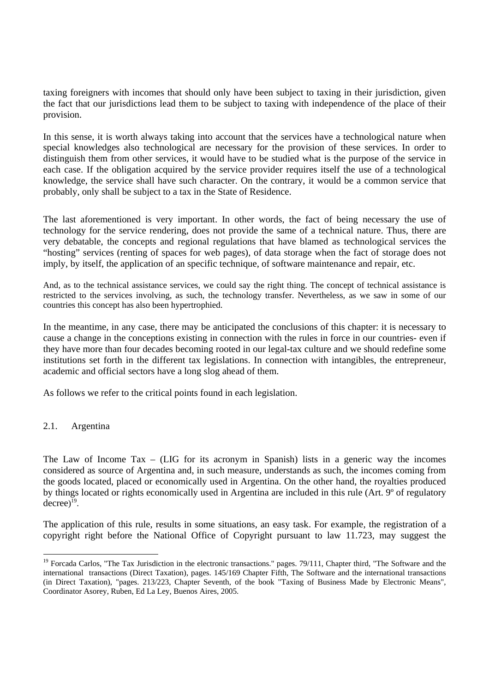taxing foreigners with incomes that should only have been subject to taxing in their jurisdiction, given the fact that our jurisdictions lead them to be subject to taxing with independence of the place of their provision.

In this sense, it is worth always taking into account that the services have a technological nature when special knowledges also technological are necessary for the provision of these services. In order to distinguish them from other services, it would have to be studied what is the purpose of the service in each case. If the obligation acquired by the service provider requires itself the use of a technological knowledge, the service shall have such character. On the contrary, it would be a common service that probably, only shall be subject to a tax in the State of Residence.

The last aforementioned is very important. In other words, the fact of being necessary the use of technology for the service rendering, does not provide the same of a technical nature. Thus, there are very debatable, the concepts and regional regulations that have blamed as technological services the "hosting" services (renting of spaces for web pages), of data storage when the fact of storage does not imply, by itself, the application of an specific technique, of software maintenance and repair, etc.

And, as to the technical assistance services, we could say the right thing. The concept of technical assistance is restricted to the services involving, as such, the technology transfer. Nevertheless, as we saw in some of our countries this concept has also been hypertrophied.

In the meantime, in any case, there may be anticipated the conclusions of this chapter: it is necessary to cause a change in the conceptions existing in connection with the rules in force in our countries- even if they have more than four decades becoming rooted in our legal-tax culture and we should redefine some institutions set forth in the different tax legislations. In connection with intangibles, the entrepreneur, academic and official sectors have a long slog ahead of them.

As follows we refer to the critical points found in each legislation.

### 2.1. Argentina

The Law of Income Tax – (LIG for its acronym in Spanish) lists in a generic way the incomes considered as source of Argentina and, in such measure, understands as such, the incomes coming from the goods located, placed or economically used in Argentina. On the other hand, the royalties produced by things located or rights economically used in Argentina are included in this rule (Art. 9º of regulatory decree) 19.

The application of this rule, results in some situations, an easy task. For example, the registration of a copyright right before the National Office of Copyright pursuant to law 11.723, may suggest the

<sup>&</sup>lt;sup>19</sup> Forcada Carlos, "The Tax Jurisdiction in the electronic transactions." pages. 79/111, Chapter third, "The Software and the international transactions (Direct Taxation), pages. 145/169 Chapter Fifth, The Software and the international transactions (in Direct Taxation), "pages. 213/223, Chapter Seventh, of the book "Taxing of Business Made by Electronic Means", Coordinator Asorey, Ruben, Ed La Ley, Buenos Aires, 2005.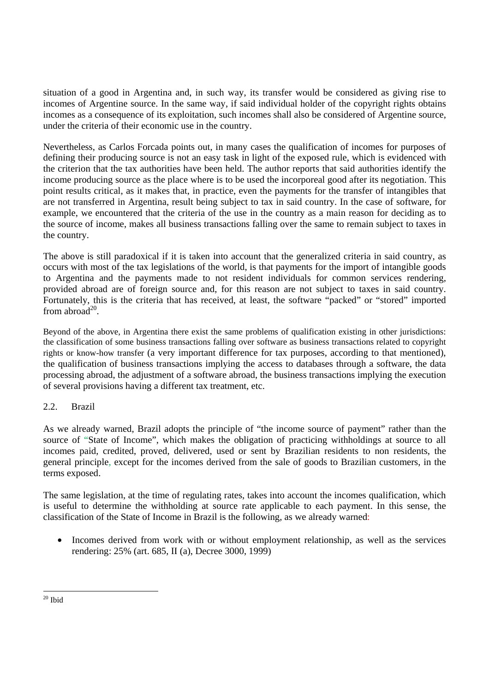situation of a good in Argentina and, in such way, its transfer would be considered as giving rise to incomes of Argentine source. In the same way, if said individual holder of the copyright rights obtains incomes as a consequence of its exploitation, such incomes shall also be considered of Argentine source, under the criteria of their economic use in the country.

Nevertheless, as Carlos Forcada points out, in many cases the qualification of incomes for purposes of defining their producing source is not an easy task in light of the exposed rule, which is evidenced with the criterion that the tax authorities have been held. The author reports that said authorities identify the income producing source as the place where is to be used the incorporeal good after its negotiation. This point results critical, as it makes that, in practice, even the payments for the transfer of intangibles that are not transferred in Argentina, result being subject to tax in said country. In the case of software, for example, we encountered that the criteria of the use in the country as a main reason for deciding as to the source of income, makes all business transactions falling over the same to remain subject to taxes in the country.

The above is still paradoxical if it is taken into account that the generalized criteria in said country, as occurs with most of the tax legislations of the world, is that payments for the import of intangible goods to Argentina and the payments made to not resident individuals for common services rendering, provided abroad are of foreign source and, for this reason are not subject to taxes in said country. Fortunately, this is the criteria that has received, at least, the software "packed" or "stored" imported from abroad $^{20}$ .

Beyond of the above, in Argentina there exist the same problems of qualification existing in other jurisdictions: the classification of some business transactions falling over software as business transactions related to copyright rights or know-how transfer (a very important difference for tax purposes, according to that mentioned), the qualification of business transactions implying the access to databases through a software, the data processing abroad, the adjustment of a software abroad, the business transactions implying the execution of several provisions having a different tax treatment, etc.

# 2.2. Brazil

As we already warned, Brazil adopts the principle of "the income source of payment" rather than the source of "State of Income", which makes the obligation of practicing withholdings at source to all incomes paid, credited, proved, delivered, used or sent by Brazilian residents to non residents, the general principle, except for the incomes derived from the sale of goods to Brazilian customers, in the terms exposed.

The same legislation, at the time of regulating rates, takes into account the incomes qualification, which is useful to determine the withholding at source rate applicable to each payment. In this sense, the classification of the State of Income in Brazil is the following, as we already warned:

• Incomes derived from work with or without employment relationship, as well as the services rendering: 25% (art. 685, II (a), Decree 3000, 1999)

 $\overline{a}$  $20$  Ibid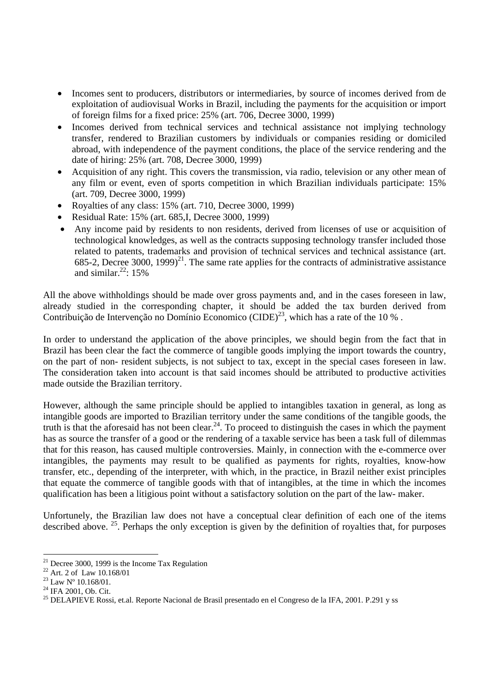- Incomes sent to producers, distributors or intermediaries, by source of incomes derived from de exploitation of audiovisual Works in Brazil, including the payments for the acquisition or import of foreign films for a fixed price: 25% (art. 706, Decree 3000, 1999)
- Incomes derived from technical services and technical assistance not implying technology transfer, rendered to Brazilian customers by individuals or companies residing or domiciled abroad, with independence of the payment conditions, the place of the service rendering and the date of hiring: 25% (art. 708, Decree 3000, 1999)
- Acquisition of any right. This covers the transmission, via radio, television or any other mean of any film or event, even of sports competition in which Brazilian individuals participate: 15% (art. 709, Decree 3000, 1999)
- Royalties of any class: 15% (art. 710, Decree 3000, 1999)
- Residual Rate: 15% (art. 685,I, Decree 3000, 1999)
- Any income paid by residents to non residents, derived from licenses of use or acquisition of technological knowledges, as well as the contracts supposing technology transfer included those related to patents, trademarks and provision of technical services and technical assistance (art. 685-2, Decree 3000, 1999)<sup>21</sup>. The same rate applies for the contracts of administrative assistance and similar. $22:15%$

All the above withholdings should be made over gross payments and, and in the cases foreseen in law, already studied in the corresponding chapter, it should be added the tax burden derived from Contribuição de Intervenção no Domínio Economico (CIDE)<sup>23</sup>, which has a rate of the 10 %.

In order to understand the application of the above principles, we should begin from the fact that in Brazil has been clear the fact the commerce of tangible goods implying the import towards the country, on the part of non- resident subjects, is not subject to tax, except in the special cases foreseen in law. The consideration taken into account is that said incomes should be attributed to productive activities made outside the Brazilian territory.

However, although the same principle should be applied to intangibles taxation in general, as long as intangible goods are imported to Brazilian territory under the same conditions of the tangible goods, the truth is that the aforesaid has not been clear.<sup>24</sup>. To proceed to distinguish the cases in which the payment has as source the transfer of a good or the rendering of a taxable service has been a task full of dilemmas that for this reason, has caused multiple controversies. Mainly, in connection with the e-commerce over intangibles, the payments may result to be qualified as payments for rights, royalties, know-how transfer, etc., depending of the interpreter, with which, in the practice, in Brazil neither exist principles that equate the commerce of tangible goods with that of intangibles, at the time in which the incomes qualification has been a litigious point without a satisfactory solution on the part of the law- maker.

Unfortunely, the Brazilian law does not have a conceptual clear definition of each one of the items described above. <sup>25</sup>. Perhaps the only exception is given by the definition of royalties that, for purposes

 $21$  Decree 3000, 1999 is the Income Tax Regulation

 $22$  Art. 2 of Law 10.168/01

 $^{23}$  Law  $\mathrm{N}^{\mathrm{o}}$  10.168/01.

<sup>&</sup>lt;sup>24</sup> IFA 2001, Ob. Cit.

<sup>&</sup>lt;sup>25</sup> DELAPIEVE Rossi, et.al. Reporte Nacional de Brasil presentado en el Congreso de la IFA, 2001. P.291 y ss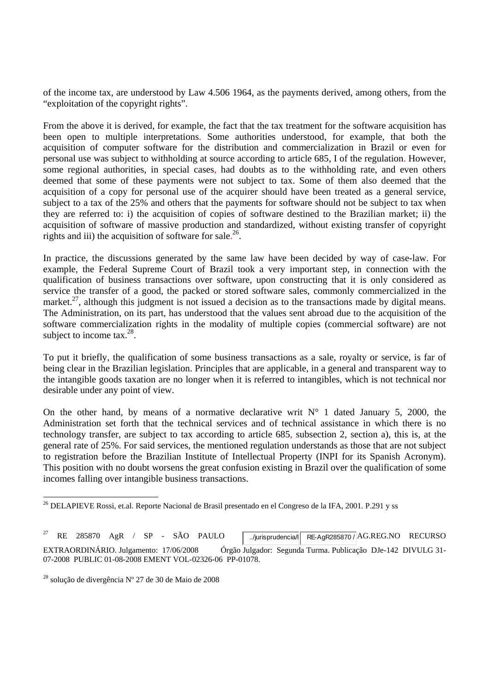of the income tax, are understood by Law 4.506 1964, as the payments derived, among others, from the "exploitation of the copyright rights".

From the above it is derived, for example, the fact that the tax treatment for the software acquisition has been open to multiple interpretations. Some authorities understood, for example, that both the acquisition of computer software for the distribution and commercialization in Brazil or even for personal use was subject to withholding at source according to article 685, I of the regulation. However, some regional authorities, in special cases, had doubts as to the withholding rate, and even others deemed that some of these payments were not subject to tax. Some of them also deemed that the acquisition of a copy for personal use of the acquirer should have been treated as a general service, subject to a tax of the 25% and others that the payments for software should not be subject to tax when they are referred to: i) the acquisition of copies of software destined to the Brazilian market; ii) the acquisition of software of massive production and standardized, without existing transfer of copyright rights and iii) the acquisition of software for sale.<sup>26</sup>.

In practice, the discussions generated by the same law have been decided by way of case-law. For example, the Federal Supreme Court of Brazil took a very important step, in connection with the qualification of business transactions over software, upon constructing that it is only considered as service the transfer of a good, the packed or stored software sales, commonly commercialized in the market.<sup>27</sup>, although this judgment is not issued a decision as to the transactions made by digital means. The Administration, on its part, has understood that the values sent abroad due to the acquisition of the software commercialization rights in the modality of multiple copies (commercial software) are not subject to income tax. $^{28}$ .

To put it briefly, the qualification of some business transactions as a sale, royalty or service, is far of being clear in the Brazilian legislation. Principles that are applicable, in a general and transparent way to the intangible goods taxation are no longer when it is referred to intangibles, which is not technical nor desirable under any point of view.

On the other hand, by means of a normative declarative writ  $N^{\circ}$  1 dated January 5, 2000, the Administration set forth that the technical services and of technical assistance in which there is no technology transfer, are subject to tax according to article 685, subsection 2, section a), this is, at the general rate of 25%. For said services, the mentioned regulation understands as those that are not subject to registration before the Brazilian Institute of Intellectual Property (INPI for its Spanish Acronym). This position with no doubt worsens the great confusion existing in Brazil over the qualification of some incomes falling over intangible business transactions.

<sup>&</sup>lt;sup>26</sup> DELAPIEVE Rossi, et.al. Reporte Nacional de Brasil presentado en el Congreso de la IFA, 2001. P.291 y ss

RE 285870 AgR / SP - SÃO PAULO .../jurisprudencia/ RE-AgR285870 / AG.REG.NO RECURSO EXTRAORDINÁRIO. Julgamento: 17/06/2008 Órgão Julgador: Segunda Turma. Publicação DJe-142 DIVULG 31- 07-2008 PUBLIC 01-08-2008 EMENT VOL-02326-06 PP-01078.

<sup>28</sup> solução de divergência Nº 27 de 30 de Maio de 2008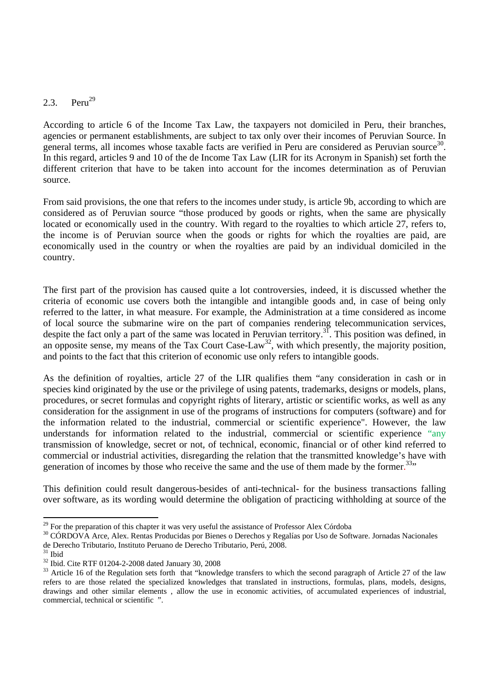# 2.3. Peru<sup>29</sup>

According to article 6 of the Income Tax Law, the taxpayers not domiciled in Peru, their branches, agencies or permanent establishments, are subject to tax only over their incomes of Peruvian Source. In general terms, all incomes whose taxable facts are verified in Peru are considered as Peruvian source<sup>30</sup>. In this regard, articles 9 and 10 of the de Income Tax Law (LIR for its Acronym in Spanish) set forth the different criterion that have to be taken into account for the incomes determination as of Peruvian source.

From said provisions, the one that refers to the incomes under study, is article 9b, according to which are considered as of Peruvian source "those produced by goods or rights, when the same are physically located or economically used in the country. With regard to the royalties to which article 27, refers to, the income is of Peruvian source when the goods or rights for which the royalties are paid, are economically used in the country or when the royalties are paid by an individual domiciled in the country.

The first part of the provision has caused quite a lot controversies, indeed, it is discussed whether the criteria of economic use covers both the intangible and intangible goods and, in case of being only referred to the latter, in what measure. For example, the Administration at a time considered as income of local source the submarine wire on the part of companies rendering telecommunication services, despite the fact only a part of the same was located in Peruvian territory.<sup>31</sup>. This position was defined, in an opposite sense, my means of the Tax Court Case-Law<sup>32</sup>, with which presently, the majority position, and points to the fact that this criterion of economic use only refers to intangible goods.

As the definition of royalties, article 27 of the LIR qualifies them "any consideration in cash or in species kind originated by the use or the privilege of using patents, trademarks, designs or models, plans, procedures, or secret formulas and copyright rights of literary, artistic or scientific works, as well as any consideration for the assignment in use of the programs of instructions for computers (software) and for the information related to the industrial, commercial or scientific experience". However, the law understands for information related to the industrial, commercial or scientific experience "any transmission of knowledge, secret or not, of technical, economic, financial or of other kind referred to commercial or industrial activities, disregarding the relation that the transmitted knowledge's have with generation of incomes by those who receive the same and the use of them made by the former.<sup>33</sup>"

This definition could result dangerous-besides of anti-technical- for the business transactions falling over software, as its wording would determine the obligation of practicing withholding at source of the

<sup>&</sup>lt;sup>29</sup> For the preparation of this chapter it was very useful the assistance of Professor Alex Córdoba

<sup>&</sup>lt;sup>30</sup> CÓRDOVA Arce, Alex. Rentas Producidas por Bienes o Derechos y Regalías por Uso de Software. Jornadas Nacionales de Derecho Tributario, Instituto Peruano de Derecho Tributario, Perú, 2008.

 $31$  Ibid

<sup>32</sup> Ibid. Cite RTF 01204-2-2008 dated January 30, 2008

<sup>&</sup>lt;sup>33</sup> Article 16 of the Regulation sets forth that "knowledge transfers to which the second paragraph of Article 27 of the law refers to are those related the specialized knowledges that translated in instructions, formulas, plans, models, designs, drawings and other similar elements , allow the use in economic activities, of accumulated experiences of industrial, commercial, technical or scientific ".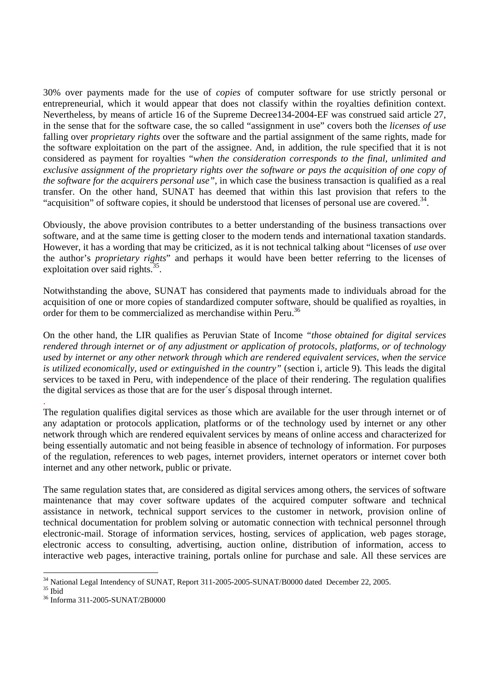30% over payments made for the use of *copies* of computer software for use strictly personal or entrepreneurial, which it would appear that does not classify within the royalties definition context. Nevertheless, by means of article 16 of the Supreme Decree134-2004-EF was construed said article 27, in the sense that for the software case, the so called "assignment in use" covers both the *licenses of use* falling over *proprietary rights* over the software and the partial assignment of the same rights, made for the software exploitation on the part of the assignee. And, in addition, the rule specified that it is not considered as payment for royalties "*when the consideration corresponds to the final, unlimited and exclusive assignment of the proprietary rights over the software or pays the acquisition of one copy of the software for the acquirers personal use",* in which case the business transaction is qualified as a real transfer. On the other hand, SUNAT has deemed that within this last provision that refers to the "acquisition" of software copies, it should be understood that licenses of personal use are covered.<sup>34</sup>.

Obviously, the above provision contributes to a better understanding of the business transactions over software, and at the same time is getting closer to the modern tends and international taxation standards. However, it has a wording that may be criticized, as it is not technical talking about "licenses of *use* over the author's *proprietary rights*" and perhaps it would have been better referring to the licenses of exploitation over said rights. $35$ .

Notwithstanding the above, SUNAT has considered that payments made to individuals abroad for the acquisition of one or more copies of standardized computer software, should be qualified as royalties, in order for them to be commercialized as merchandise within Peru.<sup>36</sup>

On the other hand, the LIR qualifies as Peruvian State of Income *"those obtained for digital services rendered through internet or of any adjustment or application of protocols, platforms, or of technology used by internet or any other network through which are rendered equivalent services, when the service is utilized economically, used or extinguished in the country"* (section i, article 9)*.* This leads the digital services to be taxed in Peru, with independence of the place of their rendering. The regulation qualifies the digital services as those that are for the user´s disposal through internet.

The regulation qualifies digital services as those which are available for the user through internet or of any adaptation or protocols application, platforms or of the technology used by internet or any other network through which are rendered equivalent services by means of online access and characterized for being essentially automatic and not being feasible in absence of technology of information. For purposes of the regulation, references to web pages, internet providers, internet operators or internet cover both internet and any other network, public or private.

The same regulation states that, are considered as digital services among others, the services of software maintenance that may cover software updates of the acquired computer software and technical assistance in network, technical support services to the customer in network, provision online of technical documentation for problem solving or automatic connection with technical personnel through electronic-mail. Storage of information services, hosting, services of application, web pages storage, electronic access to consulting, advertising, auction online, distribution of information, access to interactive web pages, interactive training, portals online for purchase and sale. All these services are

.

 <sup>34</sup> National Legal Intendency of SUNAT, Report 311-2005-2005-SUNAT/B0000 dated December 22, 2005.

<sup>35</sup> Ibid

<sup>36</sup> Informa 311-2005-SUNAT/2B0000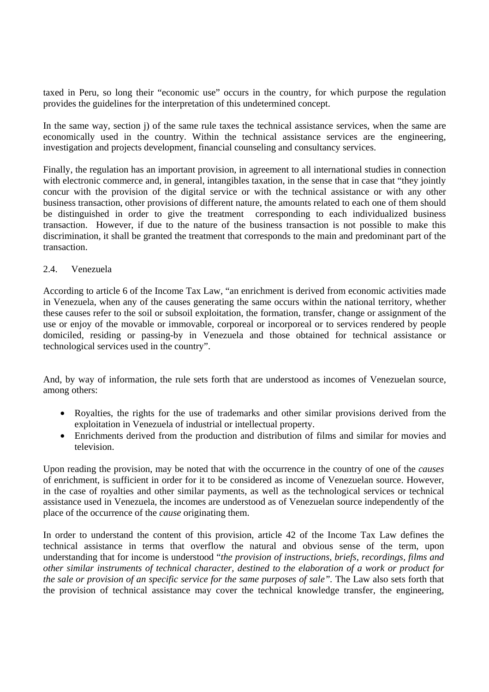taxed in Peru, so long their "economic use" occurs in the country, for which purpose the regulation provides the guidelines for the interpretation of this undetermined concept.

In the same way, section j) of the same rule taxes the technical assistance services, when the same are economically used in the country. Within the technical assistance services are the engineering, investigation and projects development, financial counseling and consultancy services.

Finally, the regulation has an important provision, in agreement to all international studies in connection with electronic commerce and, in general, intangibles taxation, in the sense that in case that "they jointly concur with the provision of the digital service or with the technical assistance or with any other business transaction, other provisions of different nature, the amounts related to each one of them should be distinguished in order to give the treatment corresponding to each individualized business transaction. However, if due to the nature of the business transaction is not possible to make this discrimination, it shall be granted the treatment that corresponds to the main and predominant part of the transaction.

### 2.4. Venezuela

According to article 6 of the Income Tax Law, "an enrichment is derived from economic activities made in Venezuela, when any of the causes generating the same occurs within the national territory, whether these causes refer to the soil or subsoil exploitation, the formation, transfer, change or assignment of the use or enjoy of the movable or immovable, corporeal or incorporeal or to services rendered by people domiciled, residing or passing-by in Venezuela and those obtained for technical assistance or technological services used in the country".

And, by way of information, the rule sets forth that are understood as incomes of Venezuelan source, among others:

- Royalties, the rights for the use of trademarks and other similar provisions derived from the exploitation in Venezuela of industrial or intellectual property.
- Enrichments derived from the production and distribution of films and similar for movies and television.

Upon reading the provision, may be noted that with the occurrence in the country of one of the *causes*  of enrichment, is sufficient in order for it to be considered as income of Venezuelan source. However, in the case of royalties and other similar payments, as well as the technological services or technical assistance used in Venezuela, the incomes are understood as of Venezuelan source independently of the place of the occurrence of the *cause* originating them.

In order to understand the content of this provision, article 42 of the Income Tax Law defines the technical assistance in terms that overflow the natural and obvious sense of the term, upon understanding that for income is understood "*the provision of instructions, briefs, recordings, films and other similar instruments of technical character, destined to the elaboration of a work or product for the sale or provision of an specific service for the same purposes of sale".* The Law also sets forth that the provision of technical assistance may cover the technical knowledge transfer, the engineering,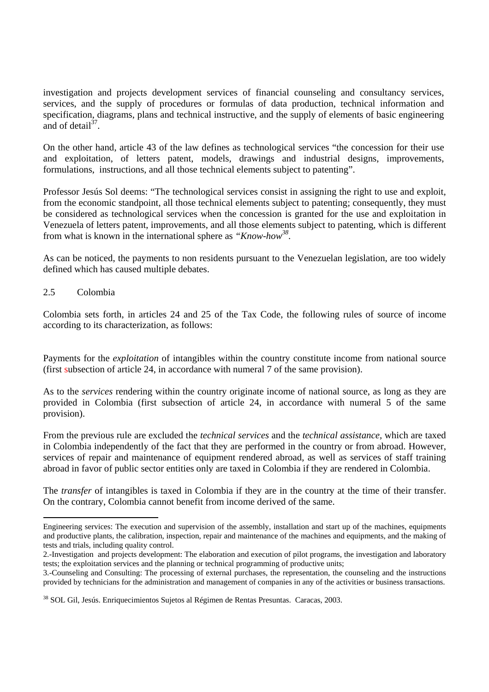investigation and projects development services of financial counseling and consultancy services, services, and the supply of procedures or formulas of data production, technical information and specification, diagrams, plans and technical instructive, and the supply of elements of basic engineering and of detail $37<sup>37</sup>$ 

On the other hand, article 43 of the law defines as technological services "the concession for their use and exploitation, of letters patent, models, drawings and industrial designs, improvements, formulations, instructions, and all those technical elements subject to patenting".

Professor Jesús Sol deems: "The technological services consist in assigning the right to use and exploit, from the economic standpoint, all those technical elements subject to patenting; consequently, they must be considered as technological services when the concession is granted for the use and exploitation in Venezuela of letters patent, improvements, and all those elements subject to patenting, which is different from what is known in the international sphere as *"Know-how38.* 

As can be noticed, the payments to non residents pursuant to the Venezuelan legislation, are too widely defined which has caused multiple debates.

### 2.5 Colombia

Colombia sets forth, in articles 24 and 25 of the Tax Code, the following rules of source of income according to its characterization, as follows:

Payments for the *exploitation* of intangibles within the country constitute income from national source (first subsection of article 24, in accordance with numeral 7 of the same provision).

As to the *services* rendering within the country originate income of national source, as long as they are provided in Colombia (first subsection of article 24, in accordance with numeral 5 of the same provision).

From the previous rule are excluded the *technical services* and the *technical assistance,* which are taxed in Colombia independently of the fact that they are performed in the country or from abroad. However, services of repair and maintenance of equipment rendered abroad, as well as services of staff training abroad in favor of public sector entities only are taxed in Colombia if they are rendered in Colombia.

The *transfer* of intangibles is taxed in Colombia if they are in the country at the time of their transfer. On the contrary, Colombia cannot benefit from income derived of the same.

Engineering services: The execution and supervision of the assembly, installation and start up of the machines, equipments and productive plants, the calibration, inspection, repair and maintenance of the machines and equipments, and the making of tests and trials, including quality control.

<sup>2.-</sup>Investigation and projects development: The elaboration and execution of pilot programs, the investigation and laboratory tests; the exploitation services and the planning or technical programming of productive units;

<sup>3.-</sup>Counseling and Consulting: The processing of external purchases, the representation, the counseling and the instructions provided by technicians for the administration and management of companies in any of the activities or business transactions.

<sup>38</sup> SOL Gil, Jesús. Enriquecimientos Sujetos al Régimen de Rentas Presuntas. Caracas, 2003.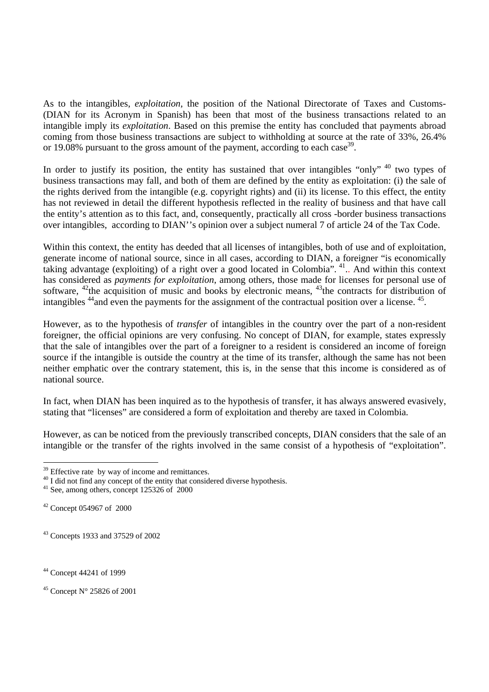As to the intangibles, *exploitation,* the position of the National Directorate of Taxes and Customs- (DIAN for its Acronym in Spanish) has been that most of the business transactions related to an intangible imply its *exploitation*. Based on this premise the entity has concluded that payments abroad coming from those business transactions are subject to withholding at source at the rate of 33%, 26.4% or 19.08% pursuant to the gross amount of the payment, according to each case<sup>39</sup>.

In order to justify its position, the entity has sustained that over intangibles "only" <sup>40</sup> two types of business transactions may fall, and both of them are defined by the entity as exploitation: (i) the sale of the rights derived from the intangible (e.g. copyright rights) and (ii) its license. To this effect, the entity has not reviewed in detail the different hypothesis reflected in the reality of business and that have call the entity's attention as to this fact, and, consequently, practically all cross -border business transactions over intangibles, according to DIAN''s opinion over a subject numeral 7 of article 24 of the Tax Code.

Within this context, the entity has deeded that all licenses of intangibles, both of use and of exploitation, generate income of national source, since in all cases, according to DIAN, a foreigner "is economically taking advantage (exploiting) of a right over a good located in Colombia". 41.. And within this context has considered as *payments for exploitation*, among others, those made for licenses for personal use of software, <sup>42</sup>the acquisition of music and books by electronic means, <sup>43</sup>the contracts for distribution of intangibles <sup>44</sup> and even the payments for the assignment of the contractual position over a license. <sup>45</sup>.

However, as to the hypothesis of *transfer* of intangibles in the country over the part of a non-resident foreigner, the official opinions are very confusing. No concept of DIAN, for example, states expressly that the sale of intangibles over the part of a foreigner to a resident is considered an income of foreign source if the intangible is outside the country at the time of its transfer, although the same has not been neither emphatic over the contrary statement, this is, in the sense that this income is considered as of national source.

In fact, when DIAN has been inquired as to the hypothesis of transfer, it has always answered evasively. stating that "licenses" are considered a form of exploitation and thereby are taxed in Colombia.

However, as can be noticed from the previously transcribed concepts, DIAN considers that the sale of an intangible or the transfer of the rights involved in the same consist of a hypothesis of "exploitation".

<sup>&</sup>lt;sup>39</sup> Effective rate by way of income and remittances.

 $^{40}$  I did not find any concept of the entity that considered diverse hypothesis.  $^{41}$  See, among others, concept 125326 of 2000

<sup>42</sup> Concept 054967 of 2000

<sup>43</sup> Concepts 1933 and 37529 of 2002

<sup>44</sup> Concept 44241 of 1999

 $45$  Concept N° 25826 of 2001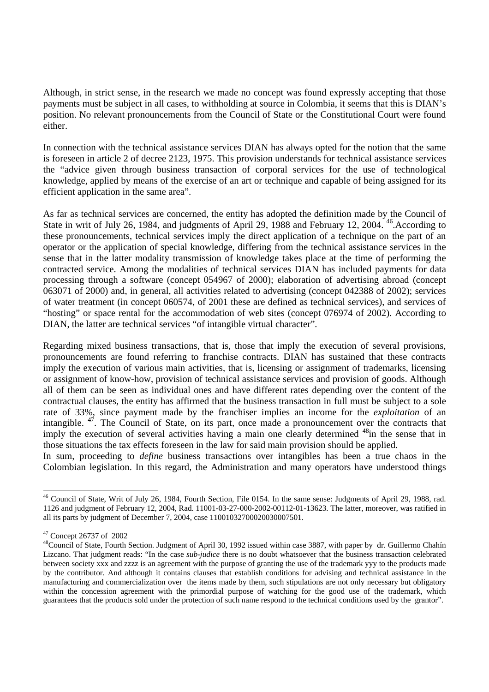Although, in strict sense, in the research we made no concept was found expressly accepting that those payments must be subject in all cases, to withholding at source in Colombia, it seems that this is DIAN's position. No relevant pronouncements from the Council of State or the Constitutional Court were found either.

In connection with the technical assistance services DIAN has always opted for the notion that the same is foreseen in article 2 of decree 2123, 1975. This provision understands for technical assistance services the "advice given through business transaction of corporal services for the use of technological knowledge, applied by means of the exercise of an art or technique and capable of being assigned for its efficient application in the same area".

As far as technical services are concerned, the entity has adopted the definition made by the Council of State in writ of July 26, 1984, and judgments of April 29, 1988 and February 12, 2004. <sup>46</sup> According to these pronouncements, technical services imply the direct application of a technique on the part of an operator or the application of special knowledge, differing from the technical assistance services in the sense that in the latter modality transmission of knowledge takes place at the time of performing the contracted service. Among the modalities of technical services DIAN has included payments for data processing through a software (concept 054967 of 2000); elaboration of advertising abroad (concept 063071 of 2000) and, in general, all activities related to advertising (concept 042388 of 2002); services of water treatment (in concept 060574, of 2001 these are defined as technical services), and services of "hosting" or space rental for the accommodation of web sites (concept 076974 of 2002). According to DIAN, the latter are technical services "of intangible virtual character".

Regarding mixed business transactions, that is, those that imply the execution of several provisions, pronouncements are found referring to franchise contracts. DIAN has sustained that these contracts imply the execution of various main activities, that is, licensing or assignment of trademarks, licensing or assignment of know-how, provision of technical assistance services and provision of goods. Although all of them can be seen as individual ones and have different rates depending over the content of the contractual clauses, the entity has affirmed that the business transaction in full must be subject to a sole rate of 33%, since payment made by the franchiser implies an income for the *exploitation* of an intangible. 47. The Council of State, on its part, once made a pronouncement over the contracts that imply the execution of several activities having a main one clearly determined <sup>48</sup>in the sense that in those situations the tax effects foreseen in the law for said main provision should be applied.

In sum, proceeding to *define* business transactions over intangibles has been a true chaos in the Colombian legislation. In this regard, the Administration and many operators have understood things

l

<sup>&</sup>lt;sup>46</sup> Council of State, Writ of July 26, 1984, Fourth Section, File 0154. In the same sense: Judgments of April 29, 1988, rad. 1126 and judgment of February 12, 2004, Rad. 11001-03-27-000-2002-00112-01-13623. The latter, moreover, was ratified in all its parts by judgment of December 7, 2004, case 11001032700020030007501.

<sup>47</sup> Concept 26737 of 2002

<sup>&</sup>lt;sup>48</sup>Council of State, Fourth Section. Judgment of April 30, 1992 issued within case 3887, with paper by dr. Guillermo Chahín Lizcano. That judgment reads: "In the case *sub-judice* there is no doubt whatsoever that the business transaction celebrated between society xxx and zzzz is an agreement with the purpose of granting the use of the trademark yyy to the products made by the contributor. And although it contains clauses that establish conditions for advising and technical assistance in the manufacturing and commercialization over the items made by them, such stipulations are not only necessary but obligatory within the concession agreement with the primordial purpose of watching for the good use of the trademark, which guarantees that the products sold under the protection of such name respond to the technical conditions used by the grantor".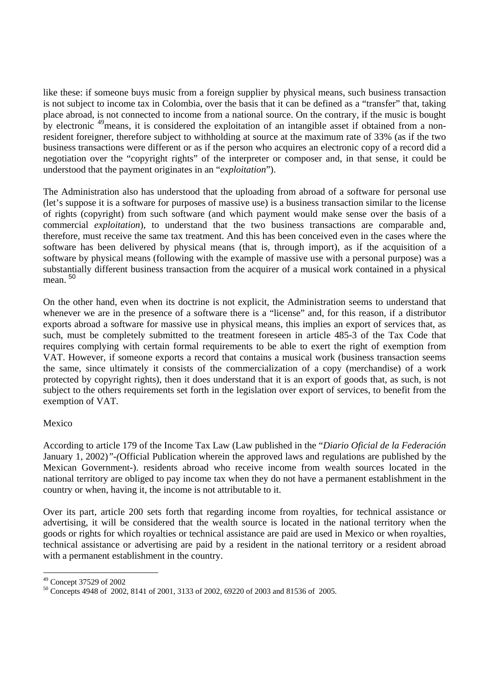like these: if someone buys music from a foreign supplier by physical means, such business transaction is not subject to income tax in Colombia, over the basis that it can be defined as a "transfer" that, taking place abroad, is not connected to income from a national source. On the contrary, if the music is bought by electronic 49means, it is considered the exploitation of an intangible asset if obtained from a nonresident foreigner, therefore subject to withholding at source at the maximum rate of 33% (as if the two business transactions were different or as if the person who acquires an electronic copy of a record did a negotiation over the "copyright rights" of the interpreter or composer and, in that sense, it could be understood that the payment originates in an "*exploitation*").

The Administration also has understood that the uploading from abroad of a software for personal use (let's suppose it is a software for purposes of massive use) is a business transaction similar to the license of rights (copyright) from such software (and which payment would make sense over the basis of a commercial *exploitation*), to understand that the two business transactions are comparable and, therefore, must receive the same tax treatment. And this has been conceived even in the cases where the software has been delivered by physical means (that is, through import), as if the acquisition of a software by physical means (following with the example of massive use with a personal purpose) was a substantially different business transaction from the acquirer of a musical work contained in a physical mean. <sup>50</sup>

On the other hand, even when its doctrine is not explicit, the Administration seems to understand that whenever we are in the presence of a software there is a "license" and, for this reason, if a distributor exports abroad a software for massive use in physical means, this implies an export of services that, as such, must be completely submitted to the treatment foreseen in article 485-3 of the Tax Code that requires complying with certain formal requirements to be able to exert the right of exemption from VAT. However, if someone exports a record that contains a musical work (business transaction seems the same, since ultimately it consists of the commercialization of a copy (merchandise) of a work protected by copyright rights), then it does understand that it is an export of goods that, as such, is not subject to the others requirements set forth in the legislation over export of services, to benefit from the exemption of VAT.

### Mexico

According to article 179 of the Income Tax Law (Law published in the "*Diario Oficial de la Federación* January 1, 2002)*"-(*Official Publication wherein the approved laws and regulations are published by the Mexican Government-). residents abroad who receive income from wealth sources located in the national territory are obliged to pay income tax when they do not have a permanent establishment in the country or when, having it, the income is not attributable to it.

Over its part, article 200 sets forth that regarding income from royalties, for technical assistance or advertising, it will be considered that the wealth source is located in the national territory when the goods or rights for which royalties or technical assistance are paid are used in Mexico or when royalties, technical assistance or advertising are paid by a resident in the national territory or a resident abroad with a permanent establishment in the country.

<sup>49</sup> Concept 37529 of 2002

<sup>50</sup> Concepts 4948 of 2002, 8141 of 2001, 3133 of 2002, 69220 of 2003 and 81536 of 2005.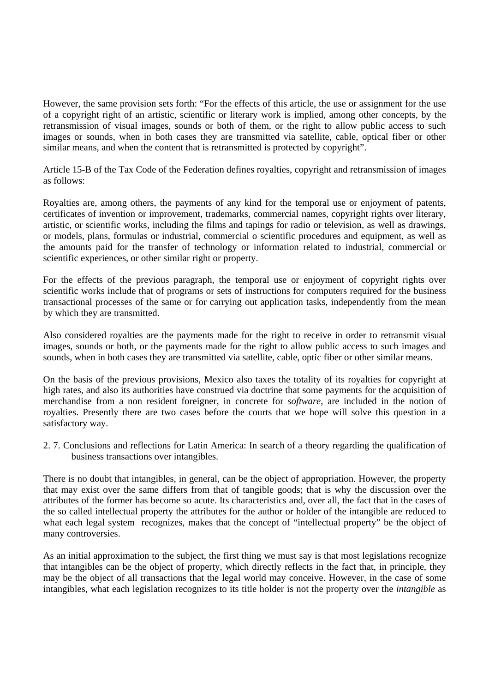However, the same provision sets forth: "For the effects of this article, the use or assignment for the use of a copyright right of an artistic, scientific or literary work is implied, among other concepts, by the retransmission of visual images, sounds or both of them, or the right to allow public access to such images or sounds, when in both cases they are transmitted via satellite, cable, optical fiber or other similar means, and when the content that is retransmitted is protected by copyright".

Article 15-B of the Tax Code of the Federation defines royalties, copyright and retransmission of images as follows:

Royalties are, among others, the payments of any kind for the temporal use or enjoyment of patents, certificates of invention or improvement, trademarks, commercial names, copyright rights over literary, artistic, or scientific works, including the films and tapings for radio or television, as well as drawings, or models, plans, formulas or industrial, commercial o scientific procedures and equipment, as well as the amounts paid for the transfer of technology or information related to industrial, commercial or scientific experiences, or other similar right or property.

For the effects of the previous paragraph, the temporal use or enjoyment of copyright rights over scientific works include that of programs or sets of instructions for computers required for the business transactional processes of the same or for carrying out application tasks, independently from the mean by which they are transmitted.

Also considered royalties are the payments made for the right to receive in order to retransmit visual images, sounds or both, or the payments made for the right to allow public access to such images and sounds, when in both cases they are transmitted via satellite, cable, optic fiber or other similar means.

On the basis of the previous provisions, Mexico also taxes the totality of its royalties for copyright at high rates, and also its authorities have construed via doctrine that some payments for the acquisition of merchandise from a non resident foreigner, in concrete for *software*, are included in the notion of royalties. Presently there are two cases before the courts that we hope will solve this question in a satisfactory way.

2. 7. Conclusions and reflections for Latin America: In search of a theory regarding the qualification of business transactions over intangibles.

There is no doubt that intangibles, in general, can be the object of appropriation. However, the property that may exist over the same differs from that of tangible goods; that is why the discussion over the attributes of the former has become so acute. Its characteristics and, over all, the fact that in the cases of the so called intellectual property the attributes for the author or holder of the intangible are reduced to what each legal system recognizes, makes that the concept of "intellectual property" be the object of many controversies.

As an initial approximation to the subject, the first thing we must say is that most legislations recognize that intangibles can be the object of property, which directly reflects in the fact that, in principle, they may be the object of all transactions that the legal world may conceive. However, in the case of some intangibles, what each legislation recognizes to its title holder is not the property over the *intangible* as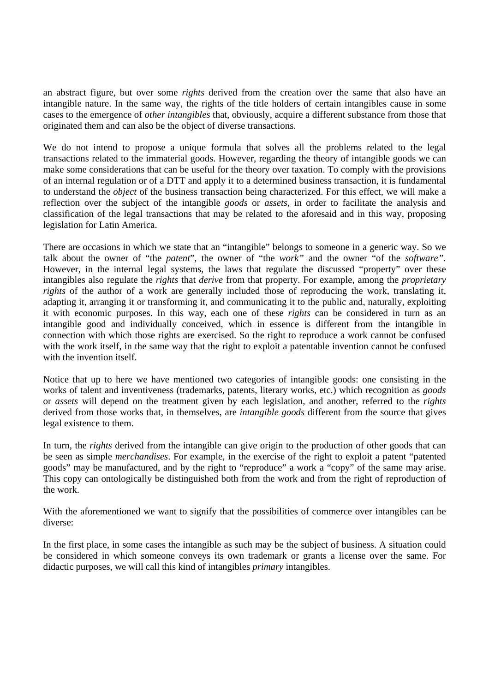an abstract figure, but over some *rights* derived from the creation over the same that also have an intangible nature. In the same way, the rights of the title holders of certain intangibles cause in some cases to the emergence of *other intangibles* that, obviously, acquire a different substance from those that originated them and can also be the object of diverse transactions.

We do not intend to propose a unique formula that solves all the problems related to the legal transactions related to the immaterial goods. However, regarding the theory of intangible goods we can make some considerations that can be useful for the theory over taxation. To comply with the provisions of an internal regulation or of a DTT and apply it to a determined business transaction, it is fundamental to understand the *object* of the business transaction being characterized. For this effect, we will make a reflection over the subject of the intangible *goods* or *assets*, in order to facilitate the analysis and classification of the legal transactions that may be related to the aforesaid and in this way, proposing legislation for Latin America.

There are occasions in which we state that an "intangible" belongs to someone in a generic way. So we talk about the owner of "the *patent*", the owner of "the *work"* and the owner "of the *software".*  However, in the internal legal systems, the laws that regulate the discussed "property" over these intangibles also regulate the *rights* that *derive* from that property. For example, among the *proprietary rights* of the author of a work are generally included those of reproducing the work, translating it, adapting it, arranging it or transforming it, and communicating it to the public and, naturally, exploiting it with economic purposes. In this way, each one of these *rights* can be considered in turn as an intangible good and individually conceived, which in essence is different from the intangible in connection with which those rights are exercised. So the right to reproduce a work cannot be confused with the work itself, in the same way that the right to exploit a patentable invention cannot be confused with the invention itself.

Notice that up to here we have mentioned two categories of intangible goods: one consisting in the works of talent and inventiveness (trademarks, patents, literary works, etc.) which recognition as *goods* or *assets* will depend on the treatment given by each legislation, and another, referred to the *rights* derived from those works that, in themselves, are *intangible goods* different from the source that gives legal existence to them.

In turn, the *rights* derived from the intangible can give origin to the production of other goods that can be seen as simple *merchandises*. For example, in the exercise of the right to exploit a patent "patented goods" may be manufactured, and by the right to "reproduce" a work a "copy" of the same may arise. This copy can ontologically be distinguished both from the work and from the right of reproduction of the work.

With the aforementioned we want to signify that the possibilities of commerce over intangibles can be diverse:

In the first place, in some cases the intangible as such may be the subject of business. A situation could be considered in which someone conveys its own trademark or grants a license over the same. For didactic purposes, we will call this kind of intangibles *primary* intangibles.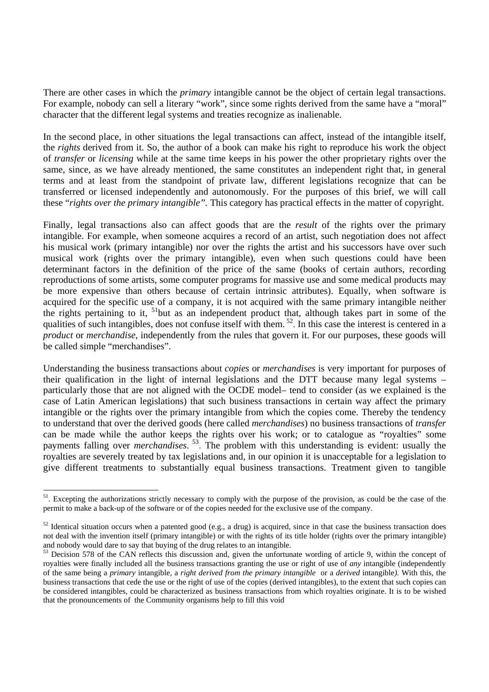There are other cases in which the *primary* intangible cannot be the object of certain legal transactions. For example, nobody can sell a literary "work", since some rights derived from the same have a "moral" character that the different legal systems and treaties recognize as inalienable.

In the second place, in other situations the legal transactions can affect, instead of the intangible itself, the *rights* derived from it. So, the author of a book can make his right to reproduce his work the object of *transfer* or *licensing* while at the same time keeps in his power the other proprietary rights over the same, since, as we have already mentioned, the same constitutes an independent right that, in general terms and at least from the standpoint of private law, different legislations recognize that can be transferred or licensed independently and autonomously. For the purposes of this brief, we will call these "*rights over the primary intangible".* This category has practical effects in the matter of copyright.

Finally, legal transactions also can affect goods that are the *result* of the rights over the primary intangible. For example, when someone acquires a record of an artist, such negotiation does not affect his musical work (primary intangible) nor over the rights the artist and his successors have over such musical work (rights over the primary intangible), even when such questions could have been determinant factors in the definition of the price of the same (books of certain authors, recording reproductions of some artists, some computer programs for massive use and some medical products may be more expensive than others because of certain intrinsic attributes). Equally, when software is acquired for the specific use of a company, it is not acquired with the same primary intangible neither the rights pertaining to it, 51but as an independent product that, although takes part in some of the qualities of such intangibles, does not confuse itself with them.  $52$ . In this case the interest is centered in a *product* or *merchandise*, independently from the rules that govern it. For our purposes, these goods will be called simple "merchandises".

Understanding the business transactions about *copies* or *merchandises* is very important for purposes of their qualification in the light of internal legislations and the DTT because many legal systems – particularly those that are not aligned with the OCDE model– tend to consider (as we explained is the case of Latin American legislations) that such business transactions in certain way affect the primary intangible or the rights over the primary intangible from which the copies come. Thereby the tendency to understand that over the derived goods (here called *merchandises*) no business transactions of *transfer* can be made while the author keeps the rights over his work; or to catalogue as "royalties" some payments falling over *merchandises*.<sup>53</sup>. The problem with this understanding is evident: usually the royalties are severely treated by tax legislations and, in our opinion it is unacceptable for a legislation to give different treatments to substantially equal business transactions. Treatment given to tangible

l

<sup>&</sup>lt;sup>51</sup>. Excepting the authorizations strictly necessary to comply with the purpose of the provision, as could be the case of the permit to make a back-up of the software or of the copies needed for the exclusive use of the company.

 $52$  Identical situation occurs when a patented good (e.g., a drug) is acquired, since in that case the business transaction does not deal with the invention itself (primary intangible) or with the rights of its title holder (rights over the primary intangible) and nobody would dare to say that buying of the drug relates to an intangible.

<sup>&</sup>lt;sup>53</sup> Decision 578 of the CAN reflects this discussion and, given the unfortunate wording of article 9, within the concept of royalties were finally included all the business transactions granting the use or right of use of *any* intangible (independently of the same being a *primary* intangible*,* a *right derived from the primary intangible* or a *derived* intangible*)*. With this, the business transactions that cede the use or the right of use of the copies (derived intangibles), to the extent that such copies can be considered intangibles, could be characterized as business transactions from which royalties originate. It is to be wished that the pronouncements of the Community organisms help to fill this void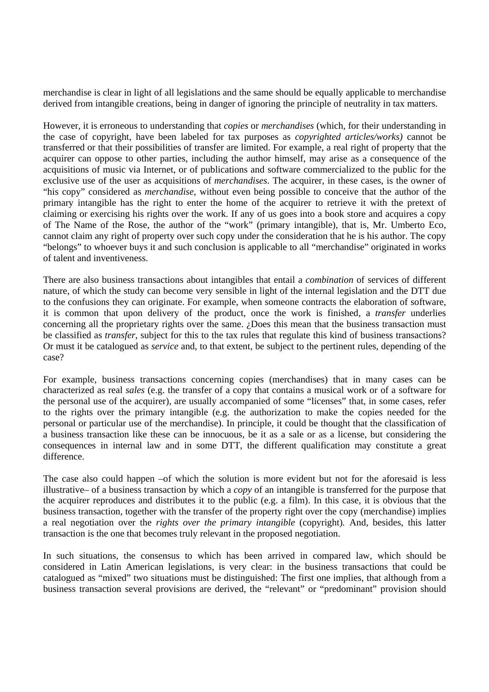merchandise is clear in light of all legislations and the same should be equally applicable to merchandise derived from intangible creations, being in danger of ignoring the principle of neutrality in tax matters.

However, it is erroneous to understanding that *copies* or *merchandises* (which, for their understanding in the case of copyright, have been labeled for tax purposes as *copyrighted articles/works)* cannot be transferred or that their possibilities of transfer are limited. For example, a real right of property that the acquirer can oppose to other parties, including the author himself, may arise as a consequence of the acquisitions of music via Internet, or of publications and software commercialized to the public for the exclusive use of the user as acquisitions of *merchandises*. The acquirer, in these cases, is the owner of "his copy" considered as *merchandise,* without even being possible to conceive that the author of the primary intangible has the right to enter the home of the acquirer to retrieve it with the pretext of claiming or exercising his rights over the work. If any of us goes into a book store and acquires a copy of The Name of the Rose, the author of the "work" (primary intangible), that is, Mr. Umberto Eco, cannot claim any right of property over such copy under the consideration that he is his author. The copy "belongs" to whoever buys it and such conclusion is applicable to all "merchandise" originated in works of talent and inventiveness.

There are also business transactions about intangibles that entail a *combination* of services of different nature, of which the study can become very sensible in light of the internal legislation and the DTT due to the confusions they can originate. For example, when someone contracts the elaboration of software, it is common that upon delivery of the product, once the work is finished, a *transfer* underlies concerning all the proprietary rights over the same. ¿Does this mean that the business transaction must be classified as *transfer*, subject for this to the tax rules that regulate this kind of business transactions? Or must it be catalogued as *service* and, to that extent, be subject to the pertinent rules, depending of the case?

For example, business transactions concerning copies (merchandises) that in many cases can be characterized as real *sales* (e.g. the transfer of a copy that contains a musical work or of a software for the personal use of the acquirer), are usually accompanied of some "licenses" that, in some cases, refer to the rights over the primary intangible (e.g. the authorization to make the copies needed for the personal or particular use of the merchandise). In principle, it could be thought that the classification of a business transaction like these can be innocuous, be it as a sale or as a license, but considering the consequences in internal law and in some DTT, the different qualification may constitute a great difference.

The case also could happen –of which the solution is more evident but not for the aforesaid is less illustrative– of a business transaction by which a *copy* of an intangible is transferred for the purpose that the acquirer reproduces and distributes it to the public (e.g. a film). In this case, it is obvious that the business transaction, together with the transfer of the property right over the copy (merchandise) implies a real negotiation over the *rights over the primary intangible* (copyright)*.* And, besides, this latter transaction is the one that becomes truly relevant in the proposed negotiation.

In such situations, the consensus to which has been arrived in compared law, which should be considered in Latin American legislations, is very clear: in the business transactions that could be catalogued as "mixed" two situations must be distinguished: The first one implies, that although from a business transaction several provisions are derived, the "relevant" or "predominant" provision should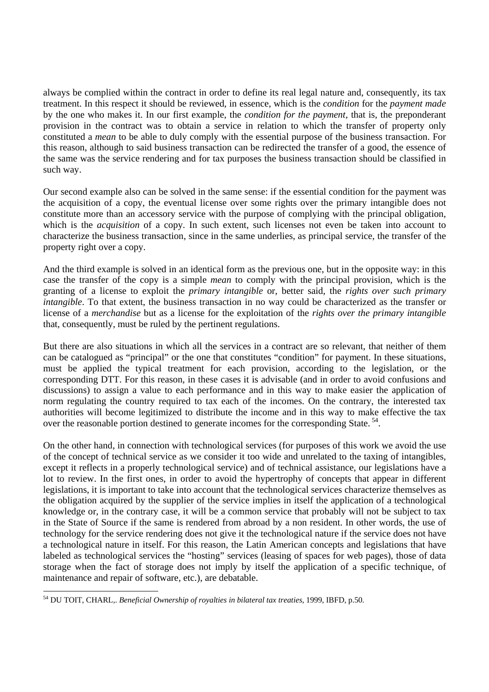always be complied within the contract in order to define its real legal nature and, consequently, its tax treatment. In this respect it should be reviewed, in essence, which is the *condition* for the *payment made* by the one who makes it. In our first example, the *condition for the payment,* that is, the preponderant provision in the contract was to obtain a service in relation to which the transfer of property only constituted a *mean* to be able to duly comply with the essential purpose of the business transaction. For this reason, although to said business transaction can be redirected the transfer of a good, the essence of the same was the service rendering and for tax purposes the business transaction should be classified in such way.

Our second example also can be solved in the same sense: if the essential condition for the payment was the acquisition of a copy, the eventual license over some rights over the primary intangible does not constitute more than an accessory service with the purpose of complying with the principal obligation, which is the *acquisition* of a copy. In such extent, such licenses not even be taken into account to characterize the business transaction, since in the same underlies, as principal service, the transfer of the property right over a copy.

And the third example is solved in an identical form as the previous one, but in the opposite way: in this case the transfer of the copy is a simple *mean* to comply with the principal provision, which is the granting of a license to exploit the *primary intangible* or, better said, the *rights over such primary intangible*. To that extent, the business transaction in no way could be characterized as the transfer or license of a *merchandise* but as a license for the exploitation of the *rights over the primary intangible* that, consequently, must be ruled by the pertinent regulations.

But there are also situations in which all the services in a contract are so relevant, that neither of them can be catalogued as "principal" or the one that constitutes "condition" for payment. In these situations, must be applied the typical treatment for each provision, according to the legislation, or the corresponding DTT. For this reason, in these cases it is advisable (and in order to avoid confusions and discussions) to assign a value to each performance and in this way to make easier the application of norm regulating the country required to tax each of the incomes. On the contrary, the interested tax authorities will become legitimized to distribute the income and in this way to make effective the tax over the reasonable portion destined to generate incomes for the corresponding State.<sup>54</sup>.

On the other hand, in connection with technological services (for purposes of this work we avoid the use of the concept of technical service as we consider it too wide and unrelated to the taxing of intangibles, except it reflects in a properly technological service) and of technical assistance, our legislations have a lot to review. In the first ones, in order to avoid the hypertrophy of concepts that appear in different legislations, it is important to take into account that the technological services characterize themselves as the obligation acquired by the supplier of the service implies in itself the application of a technological knowledge or, in the contrary case, it will be a common service that probably will not be subject to tax in the State of Source if the same is rendered from abroad by a non resident. In other words, the use of technology for the service rendering does not give it the technological nature if the service does not have a technological nature in itself. For this reason, the Latin American concepts and legislations that have labeled as technological services the "hosting" services (leasing of spaces for web pages), those of data storage when the fact of storage does not imply by itself the application of a specific technique, of maintenance and repair of software, etc.), are debatable.

 $\overline{a}$ 54 DU TOIT, CHARL,. *Beneficial Ownership of royalties in bilateral tax treaties*, 1999, IBFD, p.50.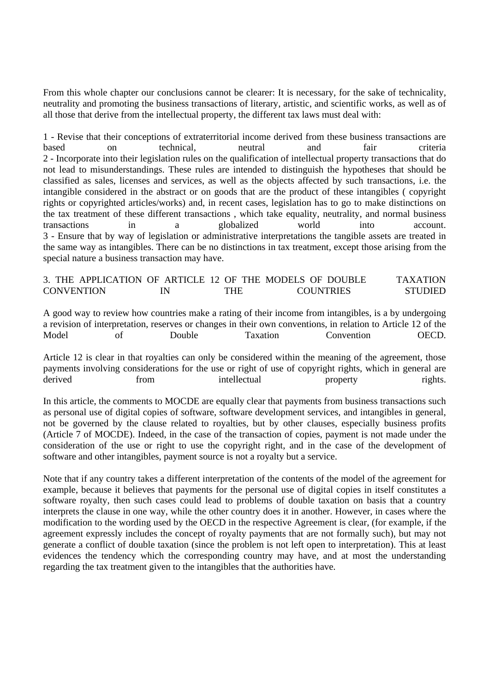From this whole chapter our conclusions cannot be clearer: It is necessary, for the sake of technicality, neutrality and promoting the business transactions of literary, artistic, and scientific works, as well as of all those that derive from the intellectual property, the different tax laws must deal with:

1 - Revise that their conceptions of extraterritorial income derived from these business transactions are based on technical, neutral and fair criteria 2 - Incorporate into their legislation rules on the qualification of intellectual property transactions that do not lead to misunderstandings. These rules are intended to distinguish the hypotheses that should be classified as sales, licenses and services, as well as the objects affected by such transactions, i.e. the intangible considered in the abstract or on goods that are the product of these intangibles ( copyright rights or copyrighted articles/works) and, in recent cases, legislation has to go to make distinctions on the tax treatment of these different transactions , which take equality, neutrality, and normal business transactions in a globalized world into account. 3 - Ensure that by way of legislation or administrative interpretations the tangible assets are treated in the same way as intangibles. There can be no distinctions in tax treatment, except those arising from the special nature a business transaction may have.

3. THE APPLICATION OF ARTICLE 12 OF THE MODELS OF DOUBLE TAXATION CONVENTION IN THE COUNTRIES STUDIED

A good way to review how countries make a rating of their income from intangibles, is a by undergoing a revision of interpretation, reserves or changes in their own conventions, in relation to Article 12 of the Model of Double Taxation Convention OECD.

Article 12 is clear in that royalties can only be considered within the meaning of the agreement, those payments involving considerations for the use or right of use of copyright rights, which in general are derived from intellectual property rights.

In this article, the comments to MOCDE are equally clear that payments from business transactions such as personal use of digital copies of software, software development services, and intangibles in general, not be governed by the clause related to royalties, but by other clauses, especially business profits (Article 7 of MOCDE). Indeed, in the case of the transaction of copies, payment is not made under the consideration of the use or right to use the copyright right, and in the case of the development of software and other intangibles, payment source is not a royalty but a service.

Note that if any country takes a different interpretation of the contents of the model of the agreement for example, because it believes that payments for the personal use of digital copies in itself constitutes a software royalty, then such cases could lead to problems of double taxation on basis that a country interprets the clause in one way, while the other country does it in another. However, in cases where the modification to the wording used by the OECD in the respective Agreement is clear, (for example, if the agreement expressly includes the concept of royalty payments that are not formally such), but may not generate a conflict of double taxation (since the problem is not left open to interpretation). This at least evidences the tendency which the corresponding country may have, and at most the understanding regarding the tax treatment given to the intangibles that the authorities have.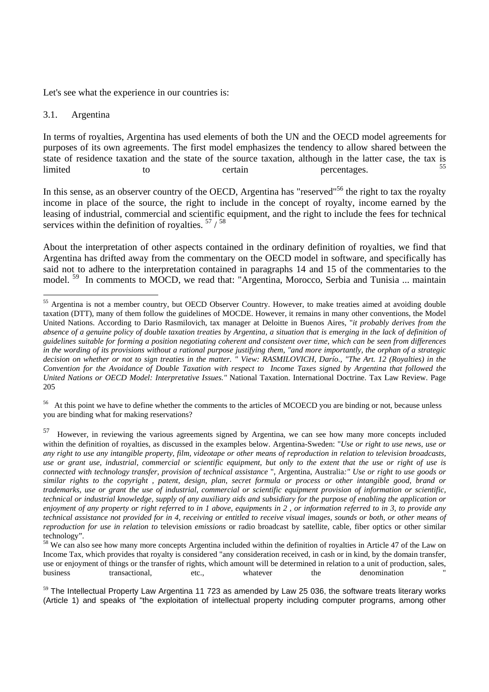Let's see what the experience in our countries is:

### 3.1. Argentina

In terms of royalties, Argentina has used elements of both the UN and the OECD model agreements for purposes of its own agreements. The first model emphasizes the tendency to allow shared between the state of residence taxation and the state of the source taxation, although in the latter case, the tax is limited to to certain percentages. <sup>55</sup>

In this sense, as an observer country of the OECD, Argentina has "reserved"<sup>56</sup> the right to tax the royalty income in place of the source, the right to include in the concept of royalty, income earned by the leasing of industrial, commercial and scientific equipment, and the right to include the fees for technical services within the definition of royalties.  $57 / 58$ 

About the interpretation of other aspects contained in the ordinary definition of royalties, we find that Argentina has drifted away from the commentary on the OECD model in software, and specifically has said not to adhere to the interpretation contained in paragraphs 14 and 15 of the commentaries to the model.<sup>59</sup> In comments to MOCD, we read that: "Argentina, Morocco, Serbia and Tunisia ... maintain

<sup>56</sup> At this point we have to define whether the comments to the articles of MCOECD you are binding or not, because unless you are binding what for making reservations?

57 However, in reviewing the various agreements signed by Argentina, we can see how many more concepts included within the definition of royalties, as discussed in the examples below. Argentina-Sweden: "*Use or right to use news, use or any right to use any intangible property, film, videotape or other means of reproduction in relation to television broadcasts, use or grant use, industrial, commercial or scientific equipment, but only to the extent that the use or right of use is connected with technology transfer, provision of technical assistance* ", Argentina, Australia*:" Use or right to use goods or similar rights to the copyright , patent, design, plan, secret formula or process or other intangible good, brand or trademarks, use or grant the use of industrial, commercial or scientific equipment provision of information or scientific, technical or industrial knowledge, supply of any auxiliary aids and subsidiary for the purpose of enabling the application or enjoyment of any property or right referred to in 1 above, equipments in 2 , or information referred to in 3, to provide any technical assistance not provided for in 4, receiving or entitled to receive visual images, sounds or both, or other means of reproduction for use in relation to* television *emissions* or radio broadcast by satellite, cable, fiber optics or other similar technology".

 <sup>55</sup> Argentina is not a member country, but OECD Observer Country. However, to make treaties aimed at avoiding double taxation (DTT), many of them follow the guidelines of MOCDE. However, it remains in many other conventions, the Model United Nations. According to Dario Rasmilovich, tax manager at Deloitte in Buenos Aires, "*it probably derives from the absence of a genuine policy of double taxation treaties by Argentina, a situation that is emerging in the lack of definition of guidelines suitable for forming a position negotiating coherent and consistent over time, which can be seen from differences in the wording of its provisions without a rational purpose justifying them, "and more importantly, the orphan of a strategic decision on whether or not to sign treaties in the matter. " View: RASMILOVICH, Darío., "The Art. 12 (Royalties) in the Convention for the Avoidance of Double Taxation with respect to Income Taxes signed by Argentina that followed the United Nations or OECD Model: Interpretative Issues."* National Taxation. International Doctrine. Tax Law Review. Page 205

<sup>&</sup>lt;sup>58</sup> We can also see how many more concepts Argentina included within the definition of royalties in Article 47 of the Law on Income Tax, which provides that royalty is considered "any consideration received, in cash or in kind, by the domain transfer, use or enjoyment of things or the transfer of rights, which amount will be determined in relation to a unit of production, sales, business transactional, etc., whatever the denomination "

 $59$  The Intellectual Property Law Argentina 11 723 as amended by Law 25 036, the software treats literary works (Article 1) and speaks of "the exploitation of intellectual property including computer programs, among other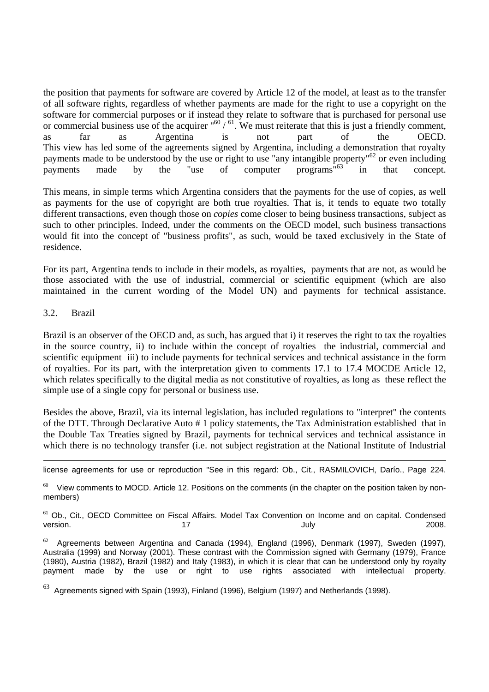the position that payments for software are covered by Article 12 of the model, at least as to the transfer of all software rights, regardless of whether payments are made for the right to use a copyright on the software for commercial purposes or if instead they relate to software that is purchased for personal use or commercial business use of the acquirer  $^{160} / ^{61}$ . We must reiterate that this is just a friendly comment, as far as Argentina is not part of the OECD. This view has led some of the agreements signed by Argentina, including a demonstration that royalty payments made to be understood by the use or right to use "any intangible property"<sup>62</sup> or even including payments made by the "use of computer programs"<sup>63</sup> in that concept.

This means, in simple terms which Argentina considers that the payments for the use of copies, as well as payments for the use of copyright are both true royalties. That is, it tends to equate two totally different transactions, even though those on *copies* come closer to being business transactions, subject as such to other principles. Indeed, under the comments on the OECD model, such business transactions would fit into the concept of "business profits", as such, would be taxed exclusively in the State of residence.

For its part, Argentina tends to include in their models, as royalties, payments that are not, as would be those associated with the use of industrial, commercial or scientific equipment (which are also maintained in the current wording of the Model UN) and payments for technical assistance.

### 3.2. Brazil

Brazil is an observer of the OECD and, as such, has argued that i) it reserves the right to tax the royalties in the source country, ii) to include within the concept of royalties the industrial, commercial and scientific equipment iii) to include payments for technical services and technical assistance in the form of royalties. For its part, with the interpretation given to comments 17.1 to 17.4 MOCDE Article 12, which relates specifically to the digital media as not constitutive of royalties, as long as these reflect the simple use of a single copy for personal or business use.

Besides the above, Brazil, via its internal legislation, has included regulations to "interpret" the contents of the DTT. Through Declarative Auto # 1 policy statements, the Tax Administration established that in the Double Tax Treaties signed by Brazil, payments for technical services and technical assistance in which there is no technology transfer (i.e. not subject registration at the National Institute of Industrial

 $\overline{a}$ license agreements for use or reproduction "See in this regard: Ob., Cit., RASMILOVICH, Darío., Page 224.

 $60$  View comments to MOCD. Article 12. Positions on the comments (in the chapter on the position taken by nonmembers)

 $61$  Ob., Cit., OECD Committee on Fiscal Affairs. Model Tax Convention on Income and on capital. Condensed  $\mu$  version. The contraction of  $\mu$  and  $\mu$  are contracted to  $\mu$  and  $\mu$  and  $\mu$  are contracted to  $\mu$  and  $\mu$  are contracted to  $\mu$  and  $\mu$  are contracted to  $\mu$  and  $\mu$  are contracted to  $\mu$  and  $\mu$  are c

 $62$  Agreements between Argentina and Canada (1994), England (1996), Denmark (1997), Sweden (1997), Australia (1999) and Norway (2001). These contrast with the Commission signed with Germany (1979), France (1980), Austria (1982), Brazil (1982) and Italy (1983), in which it is clear that can be understood only by royalty payment made by the use or right to use rights associated with intellectual property.

 $63$  Agreements signed with Spain (1993), Finland (1996), Belgium (1997) and Netherlands (1998).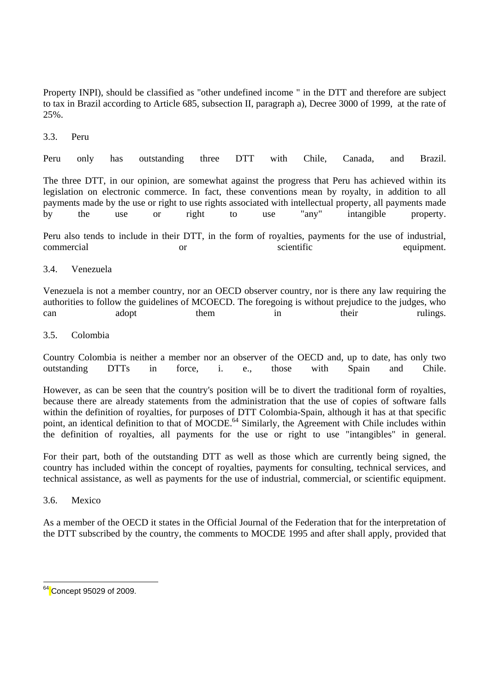Property INPI), should be classified as "other undefined income " in the DTT and therefore are subject to tax in Brazil according to Article 685, subsection II, paragraph a), Decree 3000 of 1999, at the rate of 25%.

3.3. Peru

Peru only has outstanding three DTT with Chile, Canada, and Brazil.

The three DTT, in our opinion, are somewhat against the progress that Peru has achieved within its legislation on electronic commerce. In fact, these conventions mean by royalty, in addition to all payments made by the use or right to use rights associated with intellectual property, all payments made by the use or right to use "any" intangible property.

Peru also tends to include in their DTT, in the form of royalties, payments for the use of industrial, commercial or or scientific equipment.

### 3.4. Venezuela

Venezuela is not a member country, nor an OECD observer country, nor is there any law requiring the authorities to follow the guidelines of MCOECD. The foregoing is without prejudice to the judges, who can adopt them in their rulings.

### 3.5. Colombia

Country Colombia is neither a member nor an observer of the OECD and, up to date, has only two outstanding DTTs in force, i. e., those with Spain and Chile.

However, as can be seen that the country's position will be to divert the traditional form of royalties, because there are already statements from the administration that the use of copies of software falls within the definition of royalties, for purposes of DTT Colombia-Spain, although it has at that specific point, an identical definition to that of MOCDE.<sup>64</sup> Similarly, the Agreement with Chile includes within the definition of royalties, all payments for the use or right to use "intangibles" in general.

For their part, both of the outstanding DTT as well as those which are currently being signed, the country has included within the concept of royalties, payments for consulting, technical services, and technical assistance, as well as payments for the use of industrial, commercial, or scientific equipment.

#### 3.6. Mexico

As a member of the OECD it states in the Official Journal of the Federation that for the interpretation of the DTT subscribed by the country, the comments to MOCDE 1995 and after shall apply, provided that

<sup>&</sup>lt;sup>64</sup> Concept 95029 of 2009.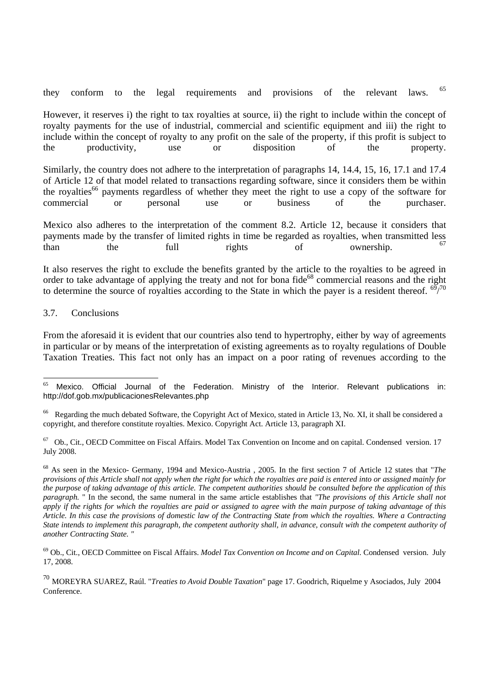they conform to the legal requirements and provisions of the relevant laws. <sup>65</sup>

However, it reserves i) the right to tax royalties at source, ii) the right to include within the concept of royalty payments for the use of industrial, commercial and scientific equipment and iii) the right to include within the concept of royalty to any profit on the sale of the property, if this profit is subject to the productivity, use or disposition of the property.

Similarly, the country does not adhere to the interpretation of paragraphs 14, 14.4, 15, 16, 17.1 and 17.4 of Article 12 of that model related to transactions regarding software, since it considers them be within the royalties<sup>66</sup> payments regardless of whether they meet the right to use a copy of the software for commercial or personal use or business of the purchaser.

Mexico also adheres to the interpretation of the comment 8.2. Article 12, because it considers that payments made by the transfer of limited rights in time be regarded as royalties, when transmitted less than the full rights of ownership. <sup>67</sup>

It also reserves the right to exclude the benefits granted by the article to the royalties to be agreed in order to take advantage of applying the treaty and not for bona fide<sup>68</sup> commercial reasons and the right to determine the source of royalties according to the State in which the payer is a resident thereof.  $\frac{69}{70}$ 

#### 3.7. Conclusions

From the aforesaid it is evident that our countries also tend to hypertrophy, either by way of agreements in particular or by means of the interpretation of existing agreements as to royalty regulations of Double Taxation Treaties. This fact not only has an impact on a poor rating of revenues according to the

 Mexico. Official Journal of the Federation. Ministry of the Interior. Relevant publications in: http://dof.gob.mx/publicacionesRelevantes.php

<sup>&</sup>lt;sup>66</sup> Regarding the much debated Software, the Copyright Act of Mexico, stated in Article 13, No. XI, it shall be considered a copyright, and therefore constitute royalties. Mexico. Copyright Act. Article 13, paragraph XI.

<sup>67</sup> Ob., Cit., OECD Committee on Fiscal Affairs. Model Tax Convention on Income and on capital. Condensed version. 17 July 2008.

<sup>68</sup> As seen in the Mexico- Germany, 1994 and Mexico-Austria , 2005. In the first section 7 of Article 12 states that "*The provisions of this Article shall not apply when the right for which the royalties are paid is entered into or assigned mainly for the purpose of taking advantage of this article. The competent authorities should be consulted before the application of this paragraph.* " In the second, the same numeral in the same article establishes that *"The provisions of this Article shall not apply if the rights for which the royalties are paid or assigned to agree with the main purpose of taking advantage of this Article. In this case the provisions of domestic law of the Contracting State from which the royalties. Where a Contracting State intends to implement this paragraph, the competent authority shall, in advance, consult with the competent authority of another Contracting State. "* 

<sup>69</sup> Ob., Cit., OECD Committee on Fiscal Affairs. *Model Tax Convention on Income and on Capital*. Condensed version. July 17, 2008.

<sup>70</sup> MOREYRA SUAREZ, Raúl. "*Treaties to Avoid Double Taxation*" page 17. Goodrich, Riquelme y Asociados, July 2004 Conference.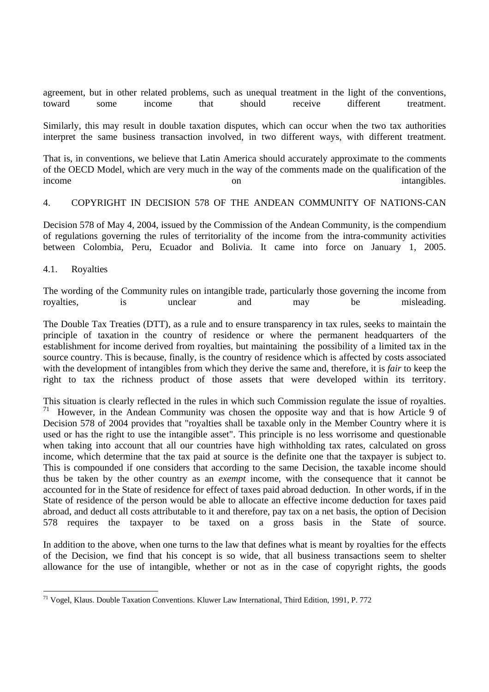agreement, but in other related problems, such as unequal treatment in the light of the conventions, toward some income that should receive different treatment.

Similarly, this may result in double taxation disputes, which can occur when the two tax authorities interpret the same business transaction involved, in two different ways, with different treatment.

That is, in conventions, we believe that Latin America should accurately approximate to the comments of the OECD Model, which are very much in the way of the comments made on the qualification of the income on on intangibles.

#### 4. COPYRIGHT IN DECISION 578 OF THE ANDEAN COMMUNITY OF NATIONS-CAN

Decision 578 of May 4, 2004, issued by the Commission of the Andean Community, is the compendium of regulations governing the rules of territoriality of the income from the intra-community activities between Colombia, Peru, Ecuador and Bolivia. It came into force on January 1, 2005.

4.1. Royalties

 $\overline{a}$ 

The wording of the Community rules on intangible trade, particularly those governing the income from royalties, is unclear and may be misleading.

The Double Tax Treaties (DTT), as a rule and to ensure transparency in tax rules, seeks to maintain the principle of taxation in the country of residence or where the permanent headquarters of the establishment for income derived from royalties, but maintaining the possibility of a limited tax in the source country. This is because, finally, is the country of residence which is affected by costs associated with the development of intangibles from which they derive the same and, therefore, it is *fair* to keep the right to tax the richness product of those assets that were developed within its territory.

This situation is clearly reflected in the rules in which such Commission regulate the issue of royalties. <sup>71</sup> However, in the Andean Community was chosen the opposite way and that is how Article 9 of Decision 578 of 2004 provides that "royalties shall be taxable only in the Member Country where it is used or has the right to use the intangible asset". This principle is no less worrisome and questionable when taking into account that all our countries have high withholding tax rates, calculated on gross income, which determine that the tax paid at source is the definite one that the taxpayer is subject to. This is compounded if one considers that according to the same Decision, the taxable income should thus be taken by the other country as an *exempt* income, with the consequence that it cannot be accounted for in the State of residence for effect of taxes paid abroad deduction. In other words, if in the State of residence of the person would be able to allocate an effective income deduction for taxes paid abroad, and deduct all costs attributable to it and therefore, pay tax on a net basis, the option of Decision 578 requires the taxpayer to be taxed on a gross basis in the State of source.

In addition to the above, when one turns to the law that defines what is meant by royalties for the effects of the Decision, we find that his concept is so wide, that all business transactions seem to shelter allowance for the use of intangible, whether or not as in the case of copyright rights, the goods

<sup>&</sup>lt;sup>71</sup> Vogel, Klaus. Double Taxation Conventions. Kluwer Law International, Third Edition, 1991, P. 772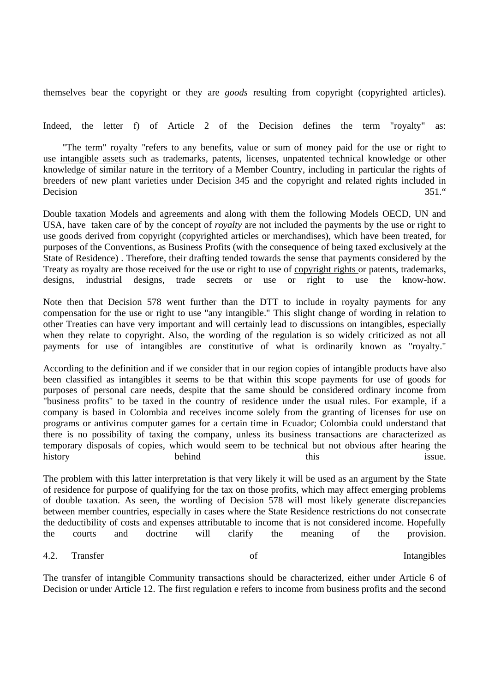themselves bear the copyright or they are *goods* resulting from copyright (copyrighted articles).

Indeed, the letter f) of Article 2 of the Decision defines the term "royalty" as:

 "The term" royalty "refers to any benefits, value or sum of money paid for the use or right to use intangible assets such as trademarks, patents, licenses, unpatented technical knowledge or other knowledge of similar nature in the territory of a Member Country, including in particular the rights of breeders of new plant varieties under Decision 345 and the copyright and related rights included in Decision 351."

Double taxation Models and agreements and along with them the following Models OECD, UN and USA, have taken care of by the concept of *royalty* are not included the payments by the use or right to use goods derived from copyright (copyrighted articles or merchandises), which have been treated, for purposes of the Conventions, as Business Profits (with the consequence of being taxed exclusively at the State of Residence) . Therefore, their drafting tended towards the sense that payments considered by the Treaty as royalty are those received for the use or right to use of copyright rights or patents, trademarks, designs, industrial designs, trade secrets or use or right to use the know-how.

Note then that Decision 578 went further than the DTT to include in royalty payments for any compensation for the use or right to use "any intangible." This slight change of wording in relation to other Treaties can have very important and will certainly lead to discussions on intangibles, especially when they relate to copyright. Also, the wording of the regulation is so widely criticized as not all payments for use of intangibles are constitutive of what is ordinarily known as "royalty."

According to the definition and if we consider that in our region copies of intangible products have also been classified as intangibles it seems to be that within this scope payments for use of goods for purposes of personal care needs, despite that the same should be considered ordinary income from "business profits" to be taxed in the country of residence under the usual rules. For example, if a company is based in Colombia and receives income solely from the granting of licenses for use on programs or antivirus computer games for a certain time in Ecuador; Colombia could understand that there is no possibility of taxing the company, unless its business transactions are characterized as temporary disposals of copies, which would seem to be technical but not obvious after hearing the history behind this this issue.

The problem with this latter interpretation is that very likely it will be used as an argument by the State of residence for purpose of qualifying for the tax on those profits, which may affect emerging problems of double taxation. As seen, the wording of Decision 578 will most likely generate discrepancies between member countries, especially in cases where the State Residence restrictions do not consecrate the deductibility of costs and expenses attributable to income that is not considered income. Hopefully the courts and doctrine will clarify the meaning of the provision.

4.2. Transfer of Intangibles

The transfer of intangible Community transactions should be characterized, either under Article 6 of Decision or under Article 12. The first regulation e refers to income from business profits and the second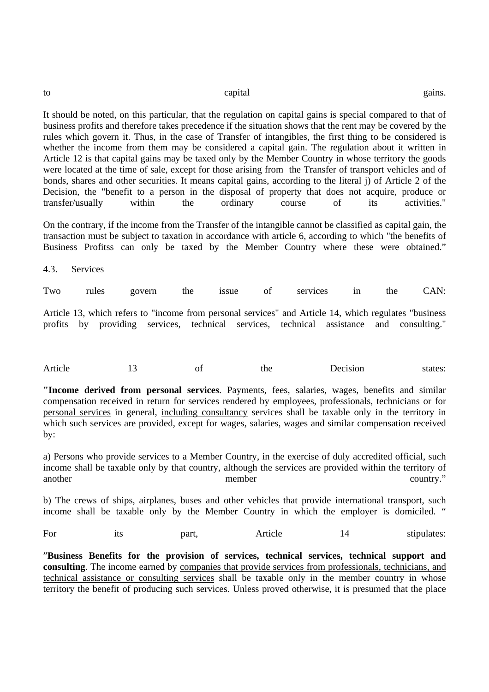| to | capital | gains. |
|----|---------|--------|
|    |         |        |
|    | .       |        |

It should be noted, on this particular, that the regulation on capital gains is special compared to that of business profits and therefore takes precedence if the situation shows that the rent may be covered by the rules which govern it. Thus, in the case of Transfer of intangibles, the first thing to be considered is whether the income from them may be considered a capital gain. The regulation about it written in Article 12 is that capital gains may be taxed only by the Member Country in whose territory the goods were located at the time of sale, except for those arising from the Transfer of transport vehicles and of bonds, shares and other securities. It means capital gains, according to the literal j) of Article 2 of the Decision, the "benefit to a person in the disposal of property that does not acquire, produce or transfer/usually within the ordinary course of its activities."

On the contrary, if the income from the Transfer of the intangible cannot be classified as capital gain, the transaction must be subject to taxation in accordance with article 6, according to which "the benefits of Business Profitss can only be taxed by the Member Country where these were obtained."

4.3. Services

Two rules govern the issue of services in the CAN:

Article 13, which refers to "income from personal services" and Article 14, which regulates "business profits by providing services, technical services, technical assistance and consulting."

| Article |  | Oì | the | <b>Jecision</b><br>. | states: |
|---------|--|----|-----|----------------------|---------|
|---------|--|----|-----|----------------------|---------|

**"Income derived from personal services**. Payments, fees, salaries, wages, benefits and similar compensation received in return for services rendered by employees, professionals, technicians or for personal services in general, including consultancy services shall be taxable only in the territory in which such services are provided, except for wages, salaries, wages and similar compensation received by:

a) Persons who provide services to a Member Country, in the exercise of duly accredited official, such income shall be taxable only by that country, although the services are provided within the territory of another member country."

b) The crews of ships, airplanes, buses and other vehicles that provide international transport, such income shall be taxable only by the Member Country in which the employer is domiciled. "

For its part, Article 14 stipulates:

"**Business Benefits for the provision of services, technical services, technical support and consulting**. The income earned by companies that provide services from professionals, technicians, and technical assistance or consulting services shall be taxable only in the member country in whose territory the benefit of producing such services. Unless proved otherwise, it is presumed that the place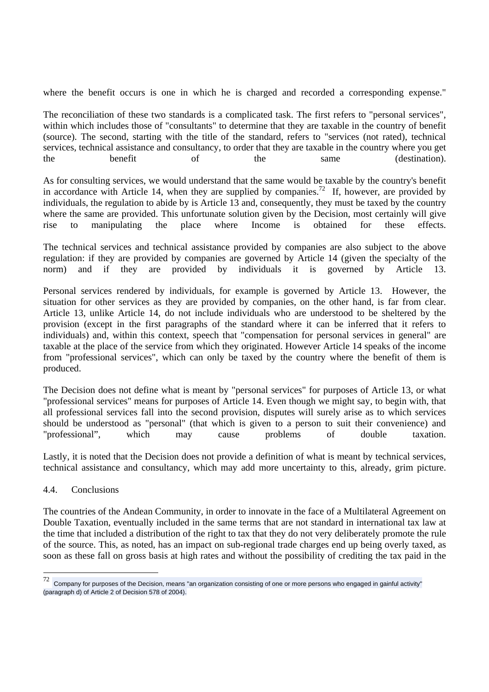where the benefit occurs is one in which he is charged and recorded a corresponding expense."

The reconciliation of these two standards is a complicated task. The first refers to "personal services", within which includes those of "consultants" to determine that they are taxable in the country of benefit (source). The second, starting with the title of the standard, refers to "services (not rated), technical services, technical assistance and consultancy, to order that they are taxable in the country where you get the benefit of the same (destination).

As for consulting services, we would understand that the same would be taxable by the country's benefit in accordance with Article 14, when they are supplied by companies.<sup>72</sup> If, however, are provided by individuals, the regulation to abide by is Article 13 and, consequently, they must be taxed by the country where the same are provided. This unfortunate solution given by the Decision, most certainly will give rise to manipulating the place where Income is obtained for these effects.

The technical services and technical assistance provided by companies are also subject to the above regulation: if they are provided by companies are governed by Article 14 (given the specialty of the norm) and if they are provided by individuals it is governed by Article 13.

Personal services rendered by individuals, for example is governed by Article 13. However, the situation for other services as they are provided by companies, on the other hand, is far from clear. Article 13, unlike Article 14, do not include individuals who are understood to be sheltered by the provision (except in the first paragraphs of the standard where it can be inferred that it refers to individuals) and, within this context, speech that "compensation for personal services in general" are taxable at the place of the service from which they originated. However Article 14 speaks of the income from "professional services", which can only be taxed by the country where the benefit of them is produced.

The Decision does not define what is meant by "personal services" for purposes of Article 13, or what "professional services" means for purposes of Article 14. Even though we might say, to begin with, that all professional services fall into the second provision, disputes will surely arise as to which services should be understood as "personal" (that which is given to a person to suit their convenience) and "professional", which may cause problems of double taxation.

Lastly, it is noted that the Decision does not provide a definition of what is meant by technical services, technical assistance and consultancy, which may add more uncertainty to this, already, grim picture.

4.4. Conclusions

The countries of the Andean Community, in order to innovate in the face of a Multilateral Agreement on Double Taxation, eventually included in the same terms that are not standard in international tax law at the time that included a distribution of the right to tax that they do not very deliberately promote the rule of the source. This, as noted, has an impact on sub-regional trade charges end up being overly taxed, as soon as these fall on gross basis at high rates and without the possibility of crediting the tax paid in the

 $72\,$ <sup>72</sup> Company for purposes of the Decision, means "an organization consisting of one or more persons who engaged in gainful activity" (paragraph d) of Article 2 of Decision 578 of 2004).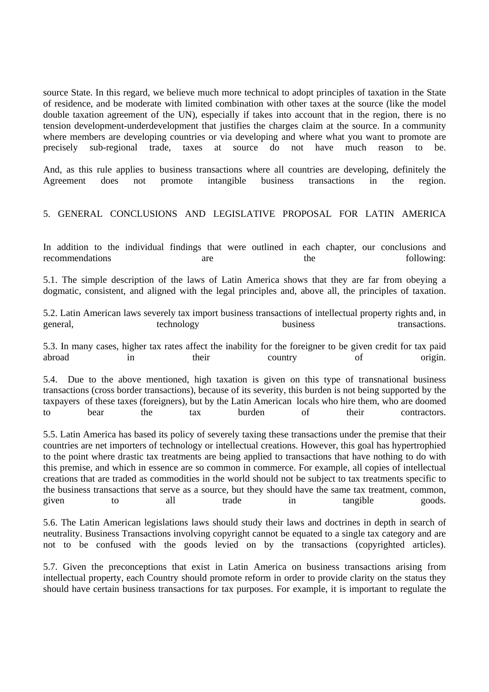source State. In this regard, we believe much more technical to adopt principles of taxation in the State of residence, and be moderate with limited combination with other taxes at the source (like the model double taxation agreement of the UN), especially if takes into account that in the region, there is no tension development-underdevelopment that justifies the charges claim at the source. In a community where members are developing countries or via developing and where what you want to promote are precisely sub-regional trade, taxes at source do not have much reason to be.

And, as this rule applies to business transactions where all countries are developing, definitely the Agreement does not promote intangible business transactions in the region.

# 5. GENERAL CONCLUSIONS AND LEGISLATIVE PROPOSAL FOR LATIN AMERICA

In addition to the individual findings that were outlined in each chapter, our conclusions and recommendations are the following:

5.1. The simple description of the laws of Latin America shows that they are far from obeying a dogmatic, consistent, and aligned with the legal principles and, above all, the principles of taxation.

5.2. Latin American laws severely tax import business transactions of intellectual property rights and, in general, technology business transactions.

5.3. In many cases, higher tax rates affect the inability for the foreigner to be given credit for tax paid abroad in their country of origin.

5.4. Due to the above mentioned, high taxation is given on this type of transnational business transactions (cross border transactions), because of its severity, this burden is not being supported by the taxpayers of these taxes (foreigners), but by the Latin American locals who hire them, who are doomed to bear the tax burden of their contractors.

5.5. Latin America has based its policy of severely taxing these transactions under the premise that their countries are net importers of technology or intellectual creations. However, this goal has hypertrophied to the point where drastic tax treatments are being applied to transactions that have nothing to do with this premise, and which in essence are so common in commerce. For example, all copies of intellectual creations that are traded as commodities in the world should not be subject to tax treatments specific to the business transactions that serve as a source, but they should have the same tax treatment, common, given to all trade in tangible goods.

5.6. The Latin American legislations laws should study their laws and doctrines in depth in search of neutrality. Business Transactions involving copyright cannot be equated to a single tax category and are not to be confused with the goods levied on by the transactions (copyrighted articles).

5.7. Given the preconceptions that exist in Latin America on business transactions arising from intellectual property, each Country should promote reform in order to provide clarity on the status they should have certain business transactions for tax purposes. For example, it is important to regulate the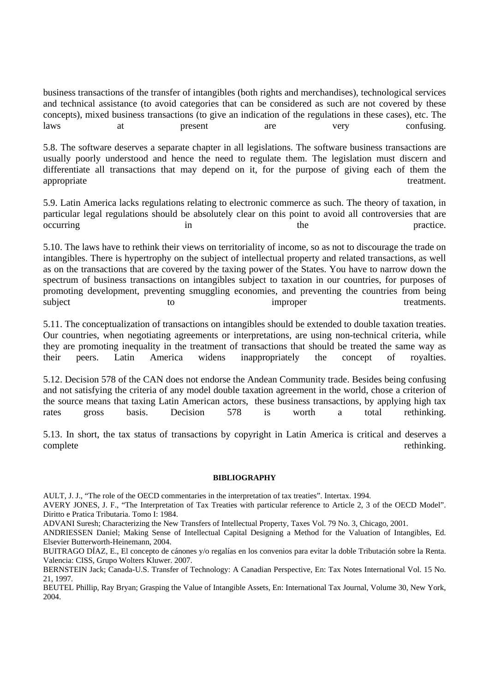business transactions of the transfer of intangibles (both rights and merchandises), technological services and technical assistance (to avoid categories that can be considered as such are not covered by these concepts), mixed business transactions (to give an indication of the regulations in these cases), etc. The laws at present are very confusing.

5.8. The software deserves a separate chapter in all legislations. The software business transactions are usually poorly understood and hence the need to regulate them. The legislation must discern and differentiate all transactions that may depend on it, for the purpose of giving each of them the appropriate treatment.

5.9. Latin America lacks regulations relating to electronic commerce as such. The theory of taxation, in particular legal regulations should be absolutely clear on this point to avoid all controversies that are occurring in the practice.

5.10. The laws have to rethink their views on territoriality of income, so as not to discourage the trade on intangibles. There is hypertrophy on the subject of intellectual property and related transactions, as well as on the transactions that are covered by the taxing power of the States. You have to narrow down the spectrum of business transactions on intangibles subject to taxation in our countries, for purposes of promoting development, preventing smuggling economies, and preventing the countries from being subject to to improper treatments.

5.11. The conceptualization of transactions on intangibles should be extended to double taxation treaties. Our countries, when negotiating agreements or interpretations, are using non-technical criteria, while they are promoting inequality in the treatment of transactions that should be treated the same way as their peers. Latin America widens inappropriately the concept of royalties.

5.12. Decision 578 of the CAN does not endorse the Andean Community trade. Besides being confusing and not satisfying the criteria of any model double taxation agreement in the world, chose a criterion of the source means that taxing Latin American actors, these business transactions, by applying high tax rates gross basis. Decision 578 is worth a total rethinking.

5.13. In short, the tax status of transactions by copyright in Latin America is critical and deserves a complete rethinking.

#### **BIBLIOGRAPHY**

AULT, J. J., "The role of the OECD commentaries in the interpretation of tax treaties". Intertax. 1994.

AVERY JONES, J. F., "The Interpretation of Tax Treaties with particular reference to Article 2, 3 of the OECD Model". Diritto e Pratica Tributaria. Tomo I: 1984.

ADVANI Suresh; Characterizing the New Transfers of Intellectual Property, Taxes Vol. 79 No. 3, Chicago, 2001.

ANDRIESSEN Daniel; Making Sense of Intellectual Capital Designing a Method for the Valuation of Intangibles, Ed. Elsevier Butterworth-Heinemann, 2004.

BUITRAGO DÍAZ, E., El concepto de cánones y/o regalías en los convenios para evitar la doble Tributación sobre la Renta. Valencia: CISS, Grupo Wolters Kluwer. 2007.

BERNSTEIN Jack; Canada-U.S. Transfer of Technology: A Canadian Perspective, En: Tax Notes International Vol. 15 No. 21, 1997.

BEUTEL Phillip, Ray Bryan; Grasping the Value of Intangible Assets, En: International Tax Journal, Volume 30, New York, 2004.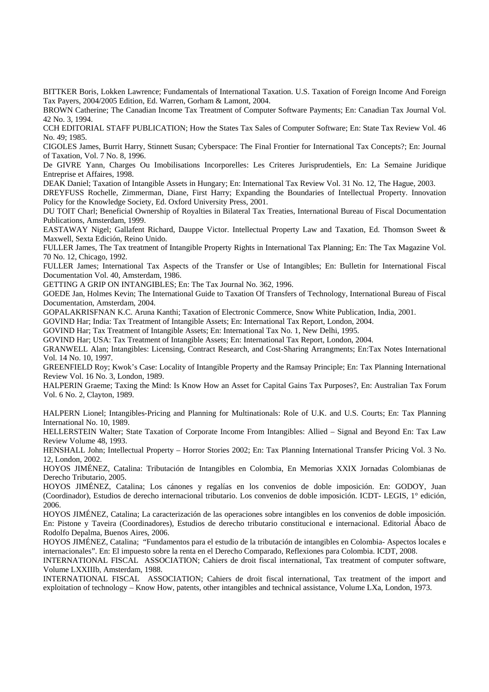BITTKER Boris, Lokken Lawrence; Fundamentals of International Taxation. U.S. Taxation of Foreign Income And Foreign Tax Payers, 2004/2005 Edition, Ed. Warren, Gorham & Lamont, 2004.

BROWN Catherine; The Canadian Income Tax Treatment of Computer Software Payments; En: Canadian Tax Journal Vol. 42 No. 3, 1994.

CCH EDITORIAL STAFF PUBLICATION; How the States Tax Sales of Computer Software; En: State Tax Review Vol. 46 No. 49; 1985.

CIGOLES James, Burrit Harry, Stinnett Susan; Cyberspace: The Final Frontier for International Tax Concepts?; En: Journal of Taxation, Vol. 7 No. 8, 1996.

De GIVRE Yann, Charges Ou Imobilisations Incorporelles: Les Criteres Jurisprudentiels, En: La Semaine Juridique Entreprise et Affaires, 1998.

DEAK Daniel; Taxation of Intangible Assets in Hungary; En: International Tax Review Vol. 31 No. 12, The Hague, 2003.

DREYFUSS Rochelle, Zimmerman, Diane, First Harry; Expanding the Boundaries of Intellectual Property. Innovation Policy for the Knowledge Society, Ed. Oxford University Press, 2001.

DU TOIT Charl; Beneficial Ownership of Royalties in Bilateral Tax Treaties, International Bureau of Fiscal Documentation Publications, Amsterdam, 1999.

EASTAWAY Nigel; Gallafent Richard, Dauppe Victor. Intellectual Property Law and Taxation, Ed. Thomson Sweet & Maxwell, Sexta Edición, Reino Unido.

FULLER James, The Tax treatment of Intangible Property Rights in International Tax Planning; En: The Tax Magazine Vol. 70 No. 12, Chicago, 1992.

FULLER James; International Tax Aspects of the Transfer or Use of Intangibles; En: Bulletin for International Fiscal Documentation Vol. 40, Amsterdam, 1986.

GETTING A GRIP ON INTANGIBLES; En: The Tax Journal No. 362, 1996.

GOEDE Jan, Holmes Kevin; The International Guide to Taxation Of Transfers of Technology, International Bureau of Fiscal Documentation, Amsterdam, 2004.

GOPALAKRISFNAN K.C. Aruna Kanthi; Taxation of Electronic Commerce, Snow White Publication, India, 2001.

GOVIND Har; India: Tax Treatment of Intangible Assets; En: International Tax Report, London, 2004.

GOVIND Har; Tax Treatment of Intangible Assets; En: International Tax No. 1, New Delhi, 1995.

GOVIND Har; USA: Tax Treatment of Intangible Assets; En: International Tax Report, London, 2004.

GRANWELL Alan; Intangibles: Licensing, Contract Research, and Cost-Sharing Arrangments; En:Tax Notes International Vol. 14 No. 10, 1997.

GREENFIELD Roy; Kwok's Case: Locality of Intangible Property and the Ramsay Principle; En: Tax Planning International Review Vol. 16 No. 3, London, 1989.

HALPERIN Graeme; Taxing the Mind: Is Know How an Asset for Capital Gains Tax Purposes?, En: Australian Tax Forum Vol. 6 No. 2, Clayton, 1989.

HALPERN Lionel; Intangibles-Pricing and Planning for Multinationals: Role of U.K. and U.S. Courts; En: Tax Planning International No. 10, 1989.

HELLERSTEIN Walter; State Taxation of Corporate Income From Intangibles: Allied – Signal and Beyond En: Tax Law Review Volume 48, 1993.

HENSHALL John; Intellectual Property – Horror Stories 2002; En: Tax Planning International Transfer Pricing Vol. 3 No. 12, London, 2002.

HOYOS JIMÉNEZ, Catalina: Tributación de Intangibles en Colombia, En Memorias XXIX Jornadas Colombianas de Derecho Tributario, 2005.

HOYOS JIMÉNEZ, Catalina; Los cánones y regalías en los convenios de doble imposición. En: GODOY, Juan (Coordinador), Estudios de derecho internacional tributario. Los convenios de doble imposición. ICDT- LEGIS, 1° edición, 2006.

HOYOS JIMÉNEZ, Catalina; La caracterización de las operaciones sobre intangibles en los convenios de doble imposición. En: Pistone y Taveira (Coordinadores), Estudios de derecho tributario constitucional e internacional. Editorial Ábaco de Rodolfo Depalma, Buenos Aires, 2006.

HOYOS JIMÉNEZ, Catalina; "Fundamentos para el estudio de la tributación de intangibles en Colombia- Aspectos locales e internacionales". En: El impuesto sobre la renta en el Derecho Comparado, Reflexiones para Colombia. ICDT, 2008.

INTERNATIONAL FISCAL ASSOCIATION; Cahiers de droit fiscal international, Tax treatment of computer software, Volume LXXIIIb, Amsterdam, 1988.

INTERNATIONAL FISCAL ASSOCIATION; Cahiers de droit fiscal international, Tax treatment of the import and exploitation of technology – Know How, patents, other intangibles and technical assistance, Volume LXa, London, 1973.